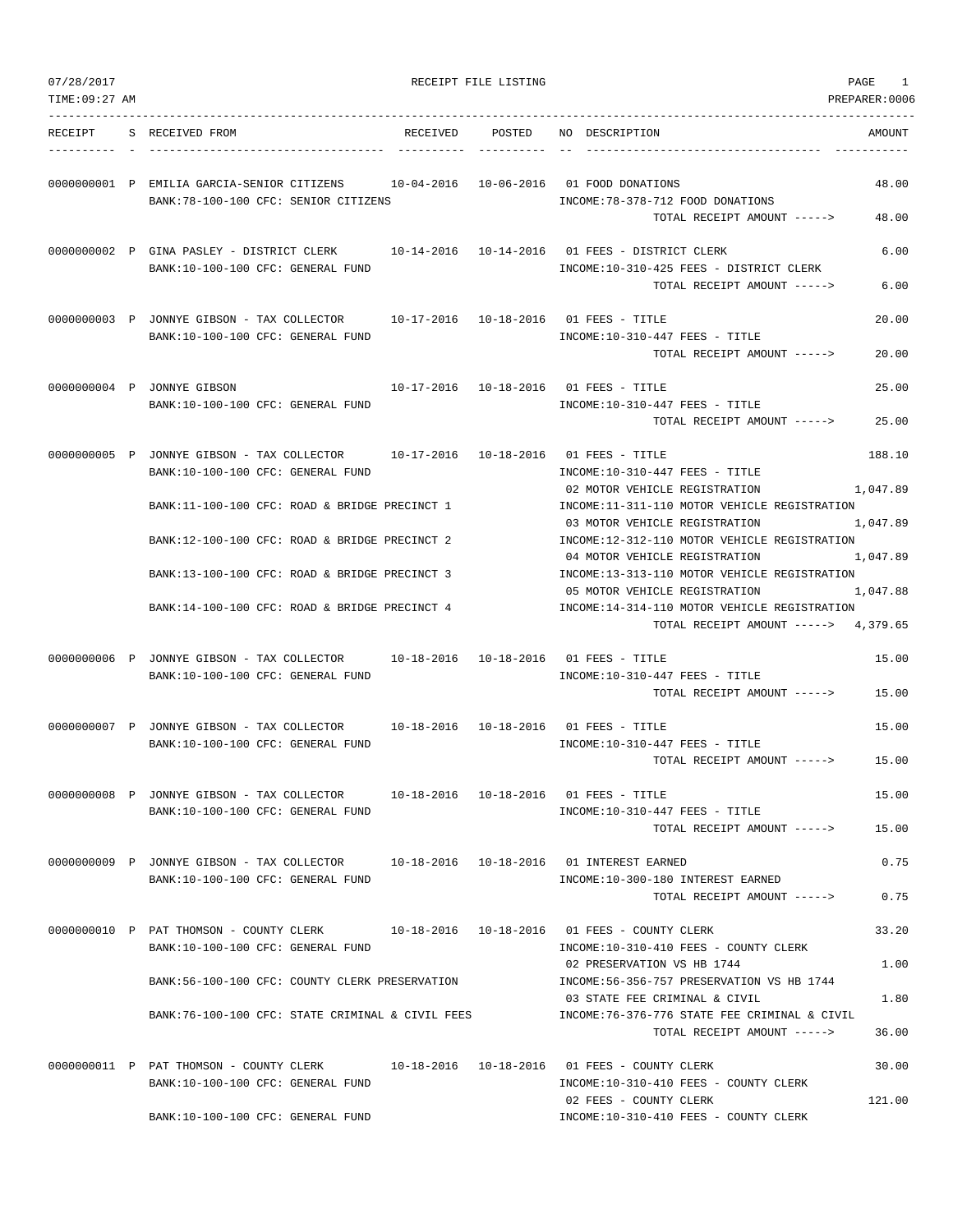| 07/28/2017     |                                                                                                                               |          | RECEIPT FILE LISTING |                                                                                                                               | PAGE<br>1          |
|----------------|-------------------------------------------------------------------------------------------------------------------------------|----------|----------------------|-------------------------------------------------------------------------------------------------------------------------------|--------------------|
| TIME: 09:27 AM |                                                                                                                               |          |                      |                                                                                                                               | PREPARER:0006      |
| RECEIPT        | S RECEIVED FROM                                                                                                               | RECEIVED | POSTED               | NO DESCRIPTION                                                                                                                | AMOUNT             |
|                | 0000000001 P EMILIA GARCIA-SENIOR CITIZENS $10-04-2016$ 10-06-2016 01 FOOD DONATIONS<br>BANK: 78-100-100 CFC: SENIOR CITIZENS |          |                      | INCOME: 78-378-712 FOOD DONATIONS<br>TOTAL RECEIPT AMOUNT ----->                                                              | 48.00<br>48.00     |
|                | 0000000002 P GINA PASLEY - DISTRICT CLERK<br>BANK:10-100-100 CFC: GENERAL FUND                                                |          |                      | 10-14-2016  10-14-2016  01 FEES - DISTRICT CLERK<br>INCOME:10-310-425 FEES - DISTRICT CLERK<br>TOTAL RECEIPT AMOUNT ----->    | 6.00<br>6.00       |
|                | 0000000003 P JONNYE GIBSON - TAX COLLECTOR 10-17-2016 10-18-2016 01 FEES - TITLE<br>BANK:10-100-100 CFC: GENERAL FUND         |          |                      | INCOME:10-310-447 FEES - TITLE<br>TOTAL RECEIPT AMOUNT ----->                                                                 | 20.00<br>20.00     |
|                | 0000000004 P JONNYE GIBSON<br>BANK:10-100-100 CFC: GENERAL FUND                                                               |          |                      | 10-17-2016  10-18-2016  01 FEES - TITLE<br>$INCOME: 10-310-447$ FEES - TITLE<br>TOTAL RECEIPT AMOUNT ----->                   | 25.00<br>25.00     |
|                | 0000000005 P JONNYE GIBSON - TAX COLLECTOR 10-17-2016 10-18-2016 01 FEES - TITLE<br>BANK: 10-100-100 CFC: GENERAL FUND        |          |                      | $INCOME: 10-310-447$ FEES - TITLE<br>02 MOTOR VEHICLE REGISTRATION                                                            | 188.10<br>1,047.89 |
|                | BANK:11-100-100 CFC: ROAD & BRIDGE PRECINCT 1<br>BANK:12-100-100 CFC: ROAD & BRIDGE PRECINCT 2                                |          |                      | INCOME:11-311-110 MOTOR VEHICLE REGISTRATION<br>03 MOTOR VEHICLE REGISTRATION<br>INCOME:12-312-110 MOTOR VEHICLE REGISTRATION | 1,047.89           |
|                | BANK:13-100-100 CFC: ROAD & BRIDGE PRECINCT 3                                                                                 |          |                      | 04 MOTOR VEHICLE REGISTRATION<br>INCOME:13-313-110 MOTOR VEHICLE REGISTRATION                                                 | 1,047.89           |
|                | BANK:14-100-100 CFC: ROAD & BRIDGE PRECINCT 4                                                                                 |          |                      | 05 MOTOR VEHICLE REGISTRATION<br>INCOME:14-314-110 MOTOR VEHICLE REGISTRATION<br>TOTAL RECEIPT AMOUNT -----> 4,379.65         | 1,047.88           |
|                | 0000000006 P JONNYE GIBSON - TAX COLLECTOR<br>BANK:10-100-100 CFC: GENERAL FUND                                               |          |                      | $INCOME: 10-310-447$ FEES - TITLE<br>TOTAL RECEIPT AMOUNT ----->                                                              | 15.00<br>15.00     |
|                | 0000000007 P JONNYE GIBSON - TAX COLLECTOR 10-18-2016 10-18-2016 01 FEES - TITLE<br>BANK:10-100-100 CFC: GENERAL FUND         |          |                      | INCOME:10-310-447 FEES - TITLE<br>TOTAL RECEIPT AMOUNT ----->                                                                 | 15.00<br>15.00     |
|                | 0000000008 P JONNYE GIBSON - TAX COLLECTOR<br>BANK:10-100-100 CFC: GENERAL FUND                                               |          |                      | 10-18-2016  10-18-2016  01 FEES - TITLE<br>INCOME:10-310-447 FEES - TITLE<br>TOTAL RECEIPT AMOUNT ----->                      | 15.00<br>15.00     |
|                | 0000000009 P JONNYE GIBSON - TAX COLLECTOR<br>BANK:10-100-100 CFC: GENERAL FUND                                               |          |                      | 10-18-2016  10-18-2016  01 INTEREST EARNED<br>INCOME:10-300-180 INTEREST EARNED<br>TOTAL RECEIPT AMOUNT ----->                | 0.75<br>0.75       |
|                | 0000000010 P PAT THOMSON - COUNTY CLERK<br>BANK:10-100-100 CFC: GENERAL FUND                                                  |          |                      | 10-18-2016  10-18-2016  01  FEES - COUNTY CLERK<br>INCOME:10-310-410 FEES - COUNTY CLERK<br>02 PRESERVATION VS HB 1744        | 33.20<br>1.00      |
|                | BANK:56-100-100 CFC: COUNTY CLERK PRESERVATION                                                                                |          |                      | INCOME: 56-356-757 PRESERVATION VS HB 1744<br>03 STATE FEE CRIMINAL & CIVIL                                                   | 1.80               |
|                | BANK:76-100-100 CFC: STATE CRIMINAL & CIVIL FEES                                                                              |          |                      | INCOME:76-376-776 STATE FEE CRIMINAL & CIVIL<br>TOTAL RECEIPT AMOUNT ----->                                                   | 36.00              |
|                | 0000000011 P PAT THOMSON - COUNTY CLERK<br>BANK:10-100-100 CFC: GENERAL FUND                                                  |          |                      | 10-18-2016  10-18-2016  01  FEES - COUNTY CLERK<br>INCOME:10-310-410 FEES - COUNTY CLERK<br>02 FEES - COUNTY CLERK            | 30.00<br>121.00    |
|                | BANK:10-100-100 CFC: GENERAL FUND                                                                                             |          |                      | INCOME:10-310-410 FEES - COUNTY CLERK                                                                                         |                    |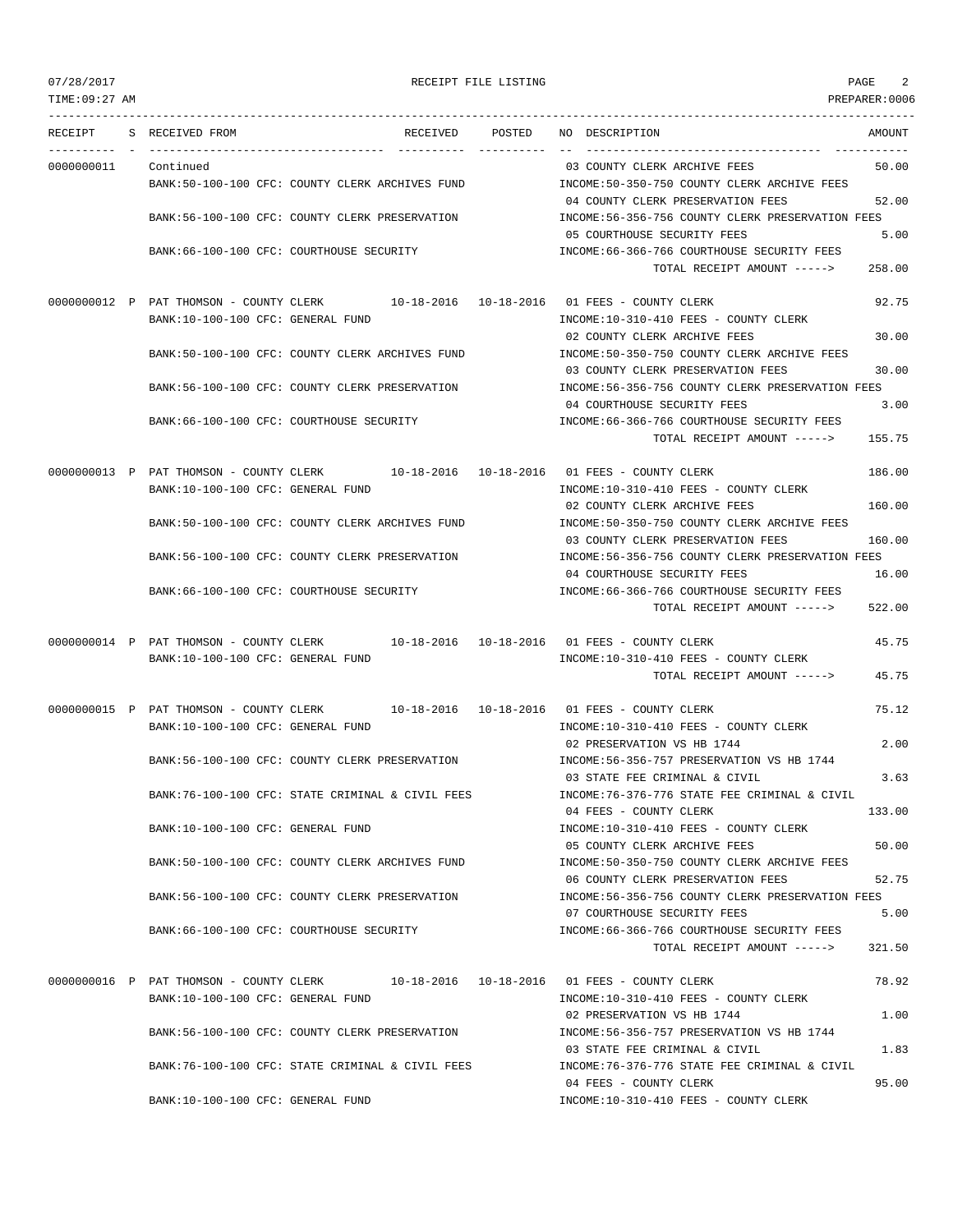TIME:09:27 AM PREPARER:0006 --------------------------------------------------------------------------------------------------------------------------------- RECEIPT S RECEIVED FROM RECEIVED POSTED NO DESCRIPTION AMOUNT ---------- - ----------------------------------- ---------- ---------- -- ----------------------------------- ----------- 0000000011 Continued 50.00 COUNTY CLERK ARCHIVE FEES 50.00 BANK:50-100-100 CFC: COUNTY CLERK ARCHIVES FUND INCOME:50-350-750 COUNTY CLERK ARCHIVE FEES 04 COUNTY CLERK PRESERVATION FEES 52.00 BANK:56-100-100 CFC: COUNTY CLERK PRESERVATION INCOME:56-356-756 COUNTY CLERK PRESERVATION FEES 05 COURTHOUSE SECURITY FEES 5.00 BANK:66-100-100 CFC: COURTHOUSE SECURITY INCOME:66-366-766 COURTHOUSE SECURITY FEES TOTAL RECEIPT AMOUNT -----> 258.00 0000000012 P PAT THOMSON - COUNTY CLERK 10-18-2016 10-18-2016 01 FEES - COUNTY CLERK 92.75 BANK:10-100-100 CFC: GENERAL FUND INCOME:10-310-410 FEES - COUNTY CLERK 02 COUNTY CLERK ARCHIVE FEES 30.00 BANK:50-100-100 CFC: COUNTY CLERK ARCHIVES FUND INCOME:50-350-750 COUNTY CLERK ARCHIVE FEES 03 COUNTY CLERK PRESERVATION FEES 30.00 BANK:56-100-100 CFC: COUNTY CLERK PRESERVATION INCOME:56-356-756 COUNTY CLERK PRESERVATION FEES 04 COURTHOUSE SECURITY FEES 3.00 BANK:66-100-100 CFC: COURTHOUSE SECURITY INCOME:66-366-766 COURTHOUSE SECURITY FEES TOTAL RECEIPT AMOUNT -----> 155.75 0000000013 P PAT THOMSON - COUNTY CLERK 10-18-2016 10-18-2016 01 FEES - COUNTY CLERK 186.00 BANK:10-100-100 CFC: GENERAL FUND INCOME:10-310-410 FEES - COUNTY CLERK 02 COUNTY CLERK ARCHIVE FEES 160.00 BANK:50-100-100 CFC: COUNTY CLERK ARCHIVES FUND INCOME:50-350-750 COUNTY CLERK ARCHIVE FEES 03 COUNTY CLERK PRESERVATION FEES 160.00 BANK:56-100-100 CFC: COUNTY CLERK PRESERVATION INCOME:56-356-756 COUNTY CLERK PRESERVATION FEES 04 COURTHOUSE SECURITY FEES 16.00 BANK:66-100-100 CFC: COURTHOUSE SECURITY **INCOME:66-366-766 COURTHOUSE SECURITY FEES** TOTAL RECEIPT AMOUNT -----> 522.00 0000000014 P PAT THOMSON - COUNTY CLERK 10-18-2016 10-18-2016 01 FEES - COUNTY CLERK 45.75 BANK:10-100-100 CFC: GENERAL FUND INCOME:10-310-410 FEES - COUNTY CLERK TOTAL RECEIPT AMOUNT -----> 45.75 0000000015 P PAT THOMSON - COUNTY CLERK 10-18-2016 10-18-2016 01 FEES - COUNTY CLERK 75.12 BANK:10-100-100 CFC: GENERAL FUND SANK:10-310-410 FEES - COUNTY CLERK 02 PRESERVATION VS HB 1744 2.00 BANK:56-100-100 CFC: COUNTY CLERK PRESERVATION INCOME:56-356-757 PRESERVATION VS HB 1744 03 STATE FEE CRIMINAL & CIVIL 3.63 BANK:76-100-100 CFC: STATE CRIMINAL & CIVIL FEES INCOME:76-376-776 STATE FEE CRIMINAL & CIVIL 04 FEES - COUNTY CLERK 133.00 BANK:10-100-100 CFC: GENERAL FUND INCOME:10-310-410 FEES - COUNTY CLERK 05 COUNTY CLERK ARCHIVE FEES 50.00 BANK:50-100-100 CFC: COUNTY CLERK ARCHIVES FUND INCOME:50-350-750 COUNTY CLERK ARCHIVE FEES 06 COUNTY CLERK PRESERVATION FEES 52.75 BANK:56-100-100 CFC: COUNTY CLERK PRESERVATION INCOME:56-356-756 COUNTY CLERK PRESERVATION FEES 07 COURTHOUSE SECURITY FEES 5.00 BANK:66-100-100 CFC: COURTHOUSE SECURITY INCOME:66-366-766 COURTHOUSE SECURITY FEES TOTAL RECEIPT AMOUNT -----> 321.50 0000000016 P PAT THOMSON - COUNTY CLERK 10-18-2016 10-18-2016 01 FEES - COUNTY CLERK 78.92 BANK:10-100-100 CFC: GENERAL FUND INCOME:10-310-410 FEES - COUNTY CLERK 02 PRESERVATION VS HB 1744 2000 1.00 BANK:56-100-100 CFC: COUNTY CLERK PRESERVATION INCOME:56-356-757 PRESERVATION VS HB 1744 03 STATE FEE CRIMINAL & CIVIL 1.83 BANK:76-100-100 CFC: STATE CRIMINAL & CIVIL FEES INCOME:76-376-776 STATE FEE CRIMINAL & CIVIL 04 FEES - COUNTY CLERK 95.00 BANK:10-100-100 CFC: GENERAL FUND  $INCOME:10-310-410$  FEES - COUNTY CLERK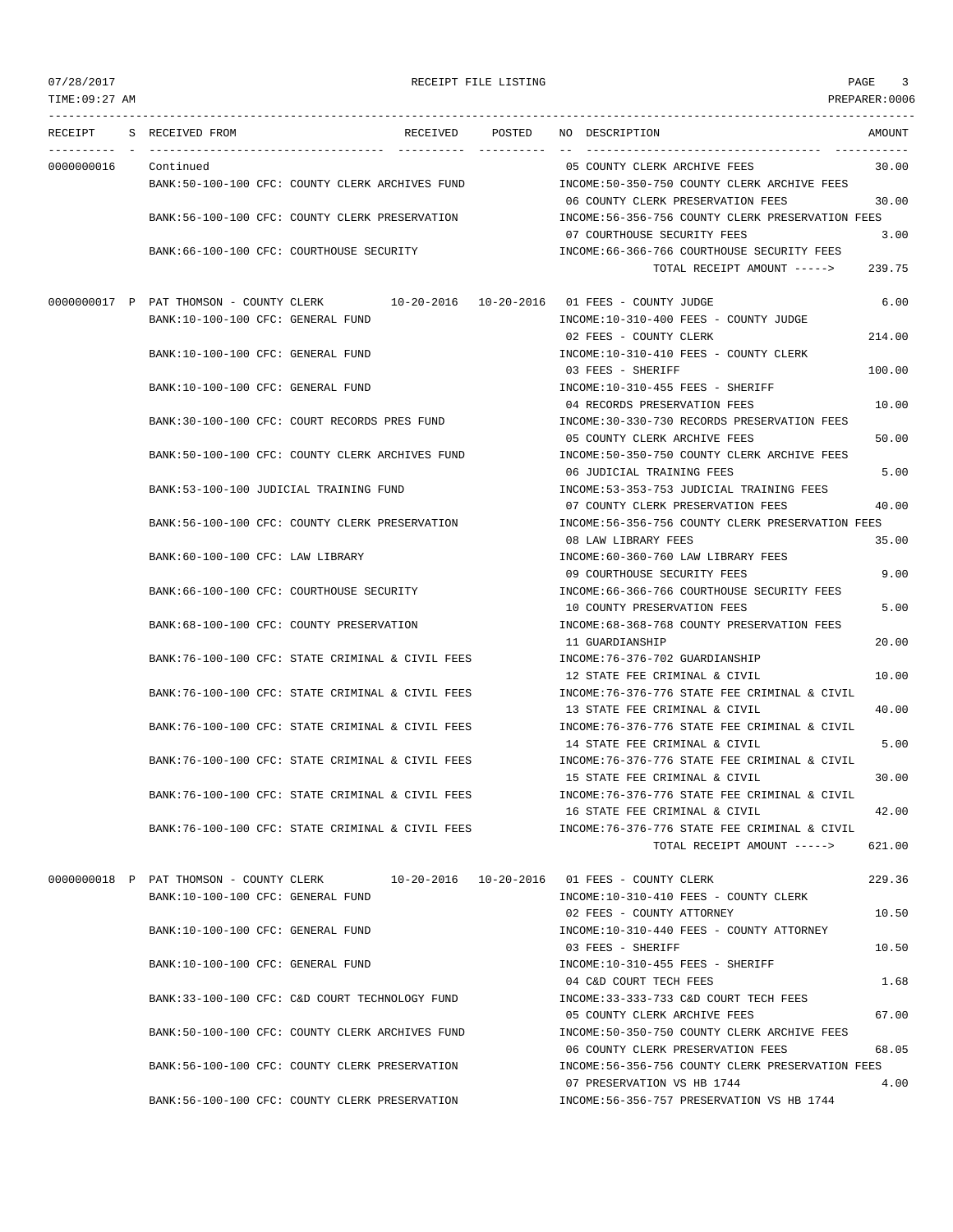TIME:09:27 AM PREPARER:0006 --------------------------------------------------------------------------------------------------------------------------------- RECEIPT S RECEIVED FROM RECEIVED POSTED NO DESCRIPTION AMOUNT ---------- - ----------------------------------- ---------- ---------- -- ----------------------------------- ----------- 0000000016 Continued 05 COUNTY CLERK ARCHIVE FEES 30.00 BANK:50-100-100 CFC: COUNTY CLERK ARCHIVES FUND INCOME:50-350-750 COUNTY CLERK ARCHIVE FEES 06 COUNTY CLERK PRESERVATION FEES 30.00 BANK:56-100-100 CFC: COUNTY CLERK PRESERVATION INCOME:56-356-756 COUNTY CLERK PRESERVATION FEES 07 COURTHOUSE SECURITY FEES 3.00 BANK:66-100-100 CFC: COURTHOUSE SECURITY INCOME:66-366-766 COURTHOUSE SECURITY FEES TOTAL RECEIPT AMOUNT -----> 239.75 0000000017 P PAT THOMSON - COUNTY CLERK 10-20-2016 10-20-2016 01 FEES - COUNTY JUDGE 6.00 BANK:10-100-100 CFC: GENERAL FUND INCOME:10-310-400 FEES - COUNTY JUDGE 02 FEES - COUNTY CLERK 214.00 BANK:10-100-100 CFC: GENERAL FUND INCOME:10-310-410 FEES - COUNTY CLERK 03 FEES - SHERIFF 100.00 BANK:10-100-100 CFC: GENERAL FUND **INCOME:10-310-455 FEES - SHERIFF** 04 RECORDS PRESERVATION FEES 600 000 BANK:30-100-100 CFC: COURT RECORDS PRES FUND INCOME:30-330-730 RECORDS PRESERVATION FEES 05 COUNTY CLERK ARCHIVE FEES 50.00 BANK:50-100-100 CFC: COUNTY CLERK ARCHIVES FUND INCOME:50-350-750 COUNTY CLERK ARCHIVE FEES 06 JUDICIAL TRAINING FEES 5.00 BANK:53-100-100 JUDICIAL TRAINING FUND INCOME:53-353-753 JUDICIAL TRAINING FEES 07 COUNTY CLERK PRESERVATION FEES 40.00 BANK:56-100-100 CFC: COUNTY CLERK PRESERVATION INCOME:56-356-756 COUNTY CLERK PRESERVATION FEES 08 LAW LIBRARY FEES 35.00 BANK:60-100-100 CFC: LAW LIBRARY INCOME:60-360-760 LAW LIBRARY FEES 09 COURTHOUSE SECURITY FEES 9.00 BANK:66-100-100 CFC: COURTHOUSE SECURITY **INCOME:66-366-766 COURTHOUSE SECURITY FEES** 10 COUNTY PRESERVATION FEES 5.00 BANK:68-100-100 CFC: COUNTY PRESERVATION INCOME:68-368-768 COUNTY PRESERVATION FEES 11 GUARDIANSHIP 20.00 BANK:76-100-100 CFC: STATE CRIMINAL & CIVIL FEES INCOME:76-376-702 GUARDIANSHIP 12 STATE FEE CRIMINAL & CIVIL 10.00 BANK:76-100-100 CFC: STATE CRIMINAL & CIVIL FEES INCOME:76-376-776 STATE FEE CRIMINAL & CIVIL 13 STATE FEE CRIMINAL & CIVIL 40.00 BANK:76-100-100 CFC: STATE CRIMINAL & CIVIL FEES INCOME:76-376-776 STATE FEE CRIMINAL & CIVIL 14 STATE FEE CRIMINAL & CIVIL 5.00 BANK:76-100-100 CFC: STATE CRIMINAL & CIVIL FEES INCOME:76-376-776 STATE FEE CRIMINAL & CIVIL 15 STATE FEE CRIMINAL & CIVIL 30.00 BANK:76-100-100 CFC: STATE CRIMINAL & CIVIL FEES INCOME:76-376-776 STATE FEE CRIMINAL & CIVIL 16 STATE FEE CRIMINAL & CIVIL 42.00 BANK:76-100-100 CFC: STATE CRIMINAL & CIVIL FEES INCOME:76-376-776 STATE FEE CRIMINAL & CIVIL TOTAL RECEIPT AMOUNT -----> 621.00 0000000018 P PAT THOMSON - COUNTY CLERK 10-20-2016 10-20-2016 01 FEES - COUNTY CLERK 229.36 BANK:10-100-100 CFC: GENERAL FUND INCOME:10-310-410 FEES - COUNTY CLERK 02 FEES - COUNTY ATTORNEY 10.50 BANK:10-100-100 CFC: GENERAL FUND INCOME:10-310-440 FEES - COUNTY ATTORNEY 03 FEES - SHERIFF 10.50 BANK:10-100-100 CFC: GENERAL FUND **INCOME:10-310-455 FEES - SHERIFF** 04 C&D COURT TECH FEES 1.68 BANK:33-100-100 CFC: C&D COURT TECHNOLOGY FUND INCOME:33-333-733 C&D COURT TECH FEES 05 COUNTY CLERK ARCHIVE FEES 67.00 BANK:50-100-100 CFC: COUNTY CLERK ARCHIVES FUND INCOME:50-350-750 COUNTY CLERK ARCHIVE FEES

> 06 COUNTY CLERK PRESERVATION FEES 68.05 BANK:56-100-100 CFC: COUNTY CLERK PRESERVATION INCOME:56-356-756 COUNTY CLERK PRESERVATION FEES 07 PRESERVATION VS HB 1744 4.00 BANK:56-100-100 CFC: COUNTY CLERK PRESERVATION INCOME:56-356-757 PRESERVATION VS HB 1744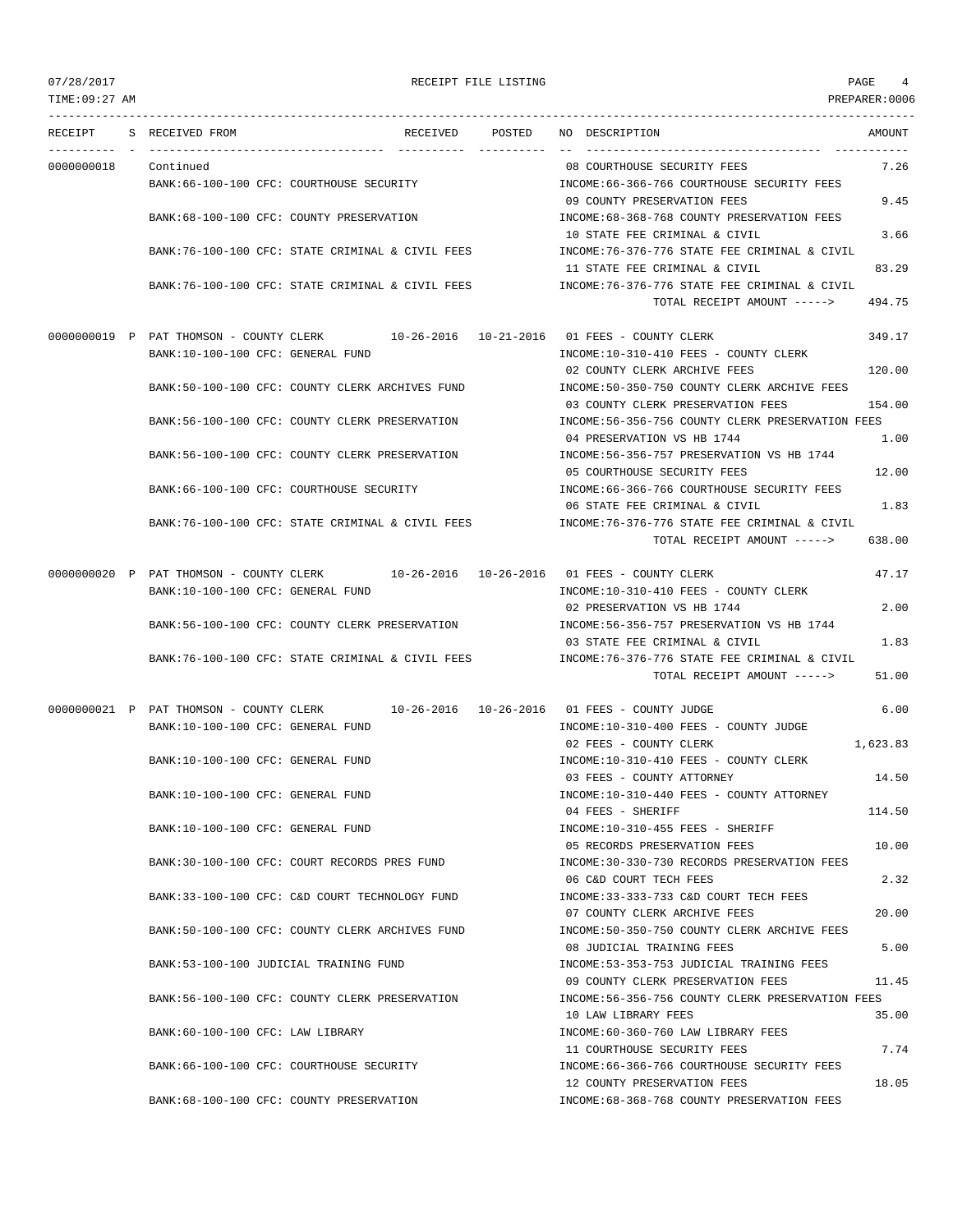TIME:09:27 AM PREPARER:0006 --------------------------------------------------------------------------------------------------------------------------------- RECEIPT S RECEIVED FROM RECEIVED POSTED NO DESCRIPTION AMOUNT ---------- - ----------------------------------- ---------- ---------- -- ----------------------------------- ----------- 0000000018 Continued 08 COURTHOUSE SECURITY FEES 7.26 BANK:66-100-100 CFC: COURTHOUSE SECURITY INCOME:66-366-766 COURTHOUSE SECURITY FEES 09 COUNTY PRESERVATION FEES 9.45 BANK:68-100-100 CFC: COUNTY PRESERVATION INCOME:68-368-768 COUNTY PRESERVATION FEES 10 STATE FEE CRIMINAL & CIVIL 3.66 BANK:76-100-100 CFC: STATE CRIMINAL & CIVIL FEES INCOME:76-376-776 STATE FEE CRIMINAL & CIVIL 11 STATE FEE CRIMINAL & CIVIL 83.29 BANK:76-100-100 CFC: STATE CRIMINAL & CIVIL FEES INCOME:76-376-776 STATE FEE CRIMINAL & CIVIL TOTAL RECEIPT AMOUNT -----> 494.75 0000000019 P PAT THOMSON - COUNTY CLERK 10-26-2016 10-21-2016 01 FEES - COUNTY CLERK 349.17 BANK:10-100-100 CFC: GENERAL FUND INCOME:10-310-410 FEES - COUNTY CLERK 02 COUNTY CLERK ARCHIVE FEES 120.00 BANK:50-100-100 CFC: COUNTY CLERK ARCHIVES FUND INCOME:50-350-750 COUNTY CLERK ARCHIVE FEES 03 COUNTY CLERK PRESERVATION FEES 154.00 BANK:56-100-100 CFC: COUNTY CLERK PRESERVATION INCOME:56-356-756 COUNTY CLERK PRESERVATION FEES 04 PRESERVATION VS HB 1744 2000 BANK:56-100-100 CFC: COUNTY CLERK PRESERVATION INCOME:56-356-757 PRESERVATION VS HB 1744 05 COURTHOUSE SECURITY FEES 12.00 BANK:66-100-100 CFC: COURTHOUSE SECURITY INCOME:66-366-766 COURTHOUSE SECURITY FEES 06 STATE FEE CRIMINAL & CIVIL 1.83 BANK:76-100-100 CFC: STATE CRIMINAL & CIVIL FEES INCOME:76-376-776 STATE FEE CRIMINAL & CIVIL TOTAL RECEIPT AMOUNT -----> 638.00 0000000020 P PAT THOMSON - COUNTY CLERK 10-26-2016 10-26-2016 01 FEES - COUNTY CLERK 47.17 BANK:10-100-100 CFC: GENERAL FUND INCOME:10-310-410 FEES - COUNTY CLERK 02 PRESERVATION VS HB 1744 2.00 BANK:56-100-100 CFC: COUNTY CLERK PRESERVATION INCOME:56-356-757 PRESERVATION VS HB 1744 03 STATE FEE CRIMINAL & CIVIL 1.83 BANK:76-100-100 CFC: STATE CRIMINAL & CIVIL FEES INCOME:76-376-776 STATE FEE CRIMINAL & CIVIL TOTAL RECEIPT AMOUNT -----> 51.00 0000000021 P PAT THOMSON - COUNTY CLERK 10-26-2016 10-26-2016 01 FEES - COUNTY JUDGE 6.00 BANK:10-100-100 CFC: GENERAL FUND INCOME:10-310-400 FEES - COUNTY JUDGE 02 FEES - COUNTY CLERK 1,623.83 BANK:10-100-100 CFC: GENERAL FUND **INCOME:10-310-410 FEES - COUNTY CLERK** 03 FEES - COUNTY ATTORNEY 14.50 BANK:10-100-100 CFC: GENERAL FUND INCOME:10-310-440 FEES - COUNTY ATTORNEY 04 FEES - SHERIFF 114.50 BANK:10-100-100 CFC: GENERAL FUND **INCOME:10-310-455 FEES - SHERIFF** 05 RECORDS PRESERVATION FEES 10.00 BANK:30-100-100 CFC: COURT RECORDS PRES FUND INCOME:30-330-730 RECORDS PRESERVATION FEES 06 C&D COURT TECH FEES 2.32 BANK:33-100-100 CFC: C&D COURT TECHNOLOGY FUND INCOME:33-333-733 C&D COURT TECH FEES 07 COUNTY CLERK ARCHIVE FEES 20.00 BANK:50-100-100 CFC: COUNTY CLERK ARCHIVES FUND INCOME:50-350-750 COUNTY CLERK ARCHIVE FEES 08 JUDICIAL TRAINING FEES 5.00 BANK:53-100-100 JUDICIAL TRAINING FUND INCOME:53-353-753 JUDICIAL TRAINING FEES 09 COUNTY CLERK PRESERVATION FEES 11.45 BANK:56-100-100 CFC: COUNTY CLERK PRESERVATION INCOME:56-356-756 COUNTY CLERK PRESERVATION FEES 10 LAW LIBRARY FEES 35.00 BANK:60-100-100 CFC: LAW LIBRARY INCOME:60-360-760 LAW LIBRARY FEES 11 COURTHOUSE SECURITY FEES 7.74 BANK:66-100-100 CFC: COURTHOUSE SECURITY INCOME:66-366-766 COURTHOUSE SECURITY FEES 12 COUNTY PRESERVATION FEES 18.05 BANK:68-100-100 CFC: COUNTY PRESERVATION INCOME:68-368-768 COUNTY PRESERVATION FEES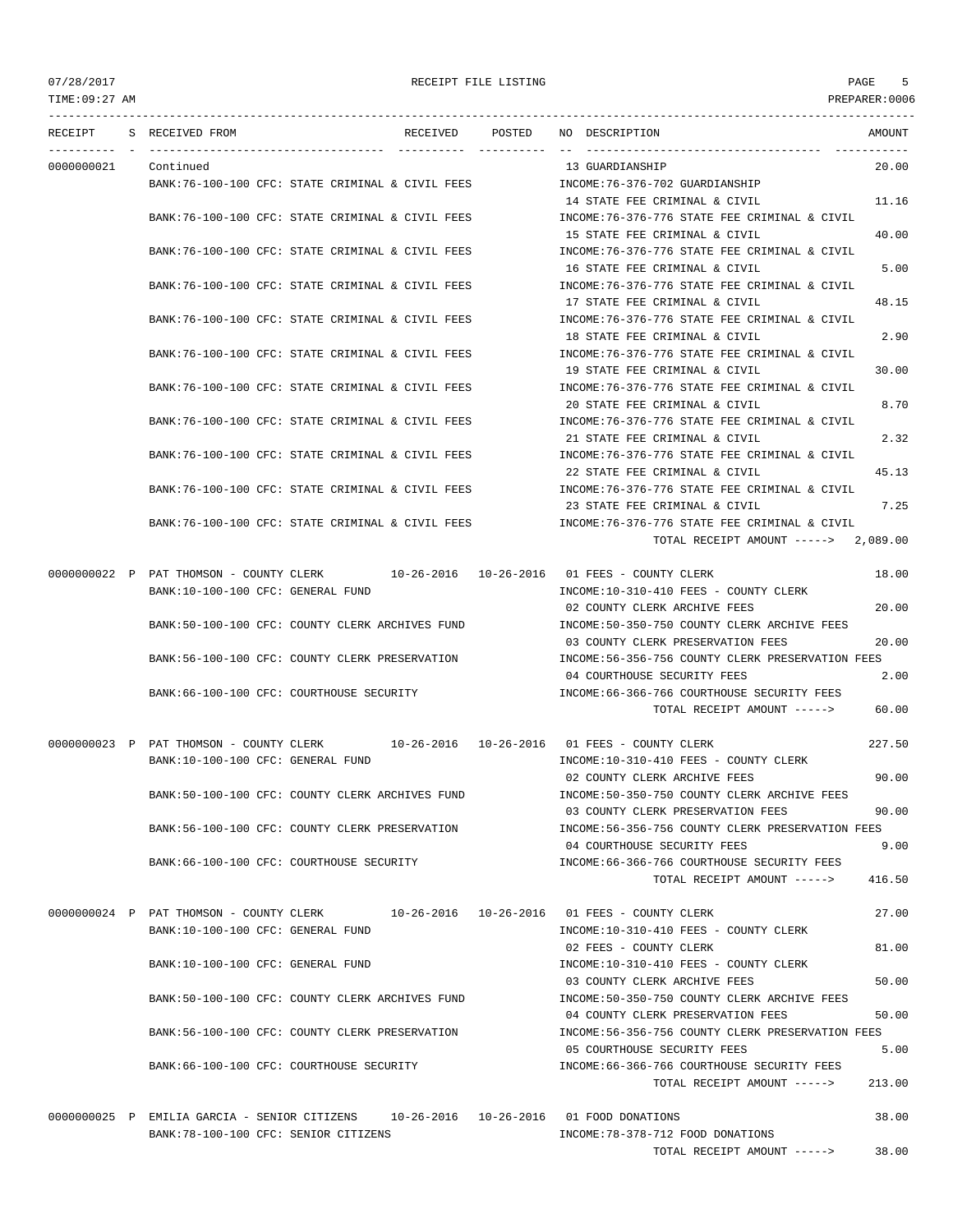TIME:09:27 AM PREPARER:0006 --------------------------------------------------------------------------------------------------------------------------------- RECEIPT S RECEIVED FROM THE RECEIVED POSTED NO DESCRIPTION THE RECEIVED AMOUNT ---------- - ----------------------------------- ---------- ---------- -- ----------------------------------- ----------- 0000000021 Continued 13 GUARDIANSHIP 20.00 BANK:76-100-100 CFC: STATE CRIMINAL & CIVIL FEES INCOME:76-376-702 GUARDIANSHIP 14 STATE FEE CRIMINAL & CIVIL 11.16 BANK:76-100-100 CFC: STATE CRIMINAL & CIVIL FEES INCOME:76-376-776 STATE FEE CRIMINAL & CIVIL 15 STATE FEE CRIMINAL & CIVIL 40.00 BANK:76-100-100 CFC: STATE CRIMINAL & CIVIL FEES INCOME:76-376-776 STATE FEE CRIMINAL & CIVIL 16 STATE FEE CRIMINAL & CIVIL 6 5.00 BANK:76-100-100 CFC: STATE CRIMINAL & CIVIL FEES INCOME:76-376-776 STATE FEE CRIMINAL & CIVIL 17 STATE FEE CRIMINAL & CIVIL 48.15 BANK:76-100-100 CFC: STATE CRIMINAL & CIVIL FEES INCOME:76-376-776 STATE FEE CRIMINAL & CIVIL 18 STATE FEE CRIMINAL & CIVIL 2.90 BANK:76-100-100 CFC: STATE CRIMINAL & CIVIL FEES INCOME:76-376-776 STATE FEE CRIMINAL & CIVIL 19 STATE FEE CRIMINAL & CIVIL 30.00 BANK:76-100-100 CFC: STATE CRIMINAL & CIVIL FEES INCOME:76-376-776 STATE FEE CRIMINAL & CIVIL 20 STATE FEE CRIMINAL & CIVIL 8.70 BANK:76-100-100 CFC: STATE CRIMINAL & CIVIL FEES INCOME:76-376-776 STATE FEE CRIMINAL & CIVIL 21 STATE FEE CRIMINAL & CIVIL 2.32 BANK:76-100-100 CFC: STATE CRIMINAL & CIVIL FEES INCOME:76-376-776 STATE FEE CRIMINAL & CIVIL 22 STATE FEE CRIMINAL & CIVIL 45.13 BANK:76-100-100 CFC: STATE CRIMINAL & CIVIL FEES INCOME:76-376-776 STATE FEE CRIMINAL & CIVIL 23 STATE FEE CRIMINAL & CIVIL 7.25 BANK:76-100-100 CFC: STATE CRIMINAL & CIVIL FEES INCOME:76-376-776 STATE FEE CRIMINAL & CIVIL TOTAL RECEIPT AMOUNT -----> 2,089.00 0000000022 P PAT THOMSON - COUNTY CLERK 10-26-2016 10-26-2016 01 FEES - COUNTY CLERK 18.00 BANK:10-100-100 CFC: GENERAL FUND INCOME:10-310-410 FEES - COUNTY CLERK 02 COUNTY CLERK ARCHIVE FEES 20.00 BANK:50-100-100 CFC: COUNTY CLERK ARCHIVES FUND INCOME:50-350-750 COUNTY CLERK ARCHIVE FEES 03 COUNTY CLERK PRESERVATION FEES 20.00 BANK:56-100-100 CFC: COUNTY CLERK PRESERVATION INCOME:56-356-756 COUNTY CLERK PRESERVATION FEES 04 COURTHOUSE SECURITY FEES 2.00 BANK:66-100-100 CFC: COURTHOUSE SECURITY **INCOME:66-366-766 COURTHOUSE SECURITY** FEES TOTAL RECEIPT AMOUNT -----> 60.00 0000000023 P PAT THOMSON - COUNTY CLERK 10-26-2016 10-26-2016 01 FEES - COUNTY CLERK 227.50 BANK:10-100-100 CFC: GENERAL FUND INCOME:10-310-410 FEES - COUNTY CLERK 02 COUNTY CLERK ARCHIVE FEES 90.00 BANK:50-100-100 CFC: COUNTY CLERK ARCHIVES FUND INCOME:50-350-750 COUNTY CLERK ARCHIVE FEES 03 COUNTY CLERK PRESERVATION FEES 90.00 BANK:56-100-100 CFC: COUNTY CLERK PRESERVATION INCOME:56-356-756 COUNTY CLERK PRESERVATION FEES 04 COURTHOUSE SECURITY FEES 9.00 BANK:66-100-100 CFC: COURTHOUSE SECURITY INCOME:66-366-766 COURTHOUSE SECURITY FEES TOTAL RECEIPT AMOUNT -----> 416.50 0000000024 P PAT THOMSON - COUNTY CLERK 10-26-2016 10-26-2016 01 FEES - COUNTY CLERK 27.00 BANK:10-100-100 CFC: GENERAL FUND SANK:10-310-410 FEES - COUNTY CLERK 02 FEES - COUNTY CLERK 81.00 BANK:10-100-100 CFC: GENERAL FUND INCOME:10-310-410 FEES - COUNTY CLERK 03 COUNTY CLERK ARCHIVE FEES 50.00 BANK:50-100-100 CFC: COUNTY CLERK ARCHIVES FUND INCOME:50-350-750 COUNTY CLERK ARCHIVE FEES 04 COUNTY CLERK PRESERVATION FEES 50.00 BANK:56-100-100 CFC: COUNTY CLERK PRESERVATION INCOME:56-356-756 COUNTY CLERK PRESERVATION FEES 05 COURTHOUSE SECURITY FEES 5.00 BANK:66-100-100 CFC: COURTHOUSE SECURITY INCOME:66-366-766 COURTHOUSE SECURITY FEES TOTAL RECEIPT AMOUNT -----> 213.00

0000000025 P EMILIA GARCIA - SENIOR CITIZENS 10-26-2016 10-26-2016 01 FOOD DONATIONS 38.00 BANK:78-100-100 CFC: SENIOR CITIZENS INCOME:78-378-712 FOOD DONATIONS TOTAL RECEIPT AMOUNT -----> 38.00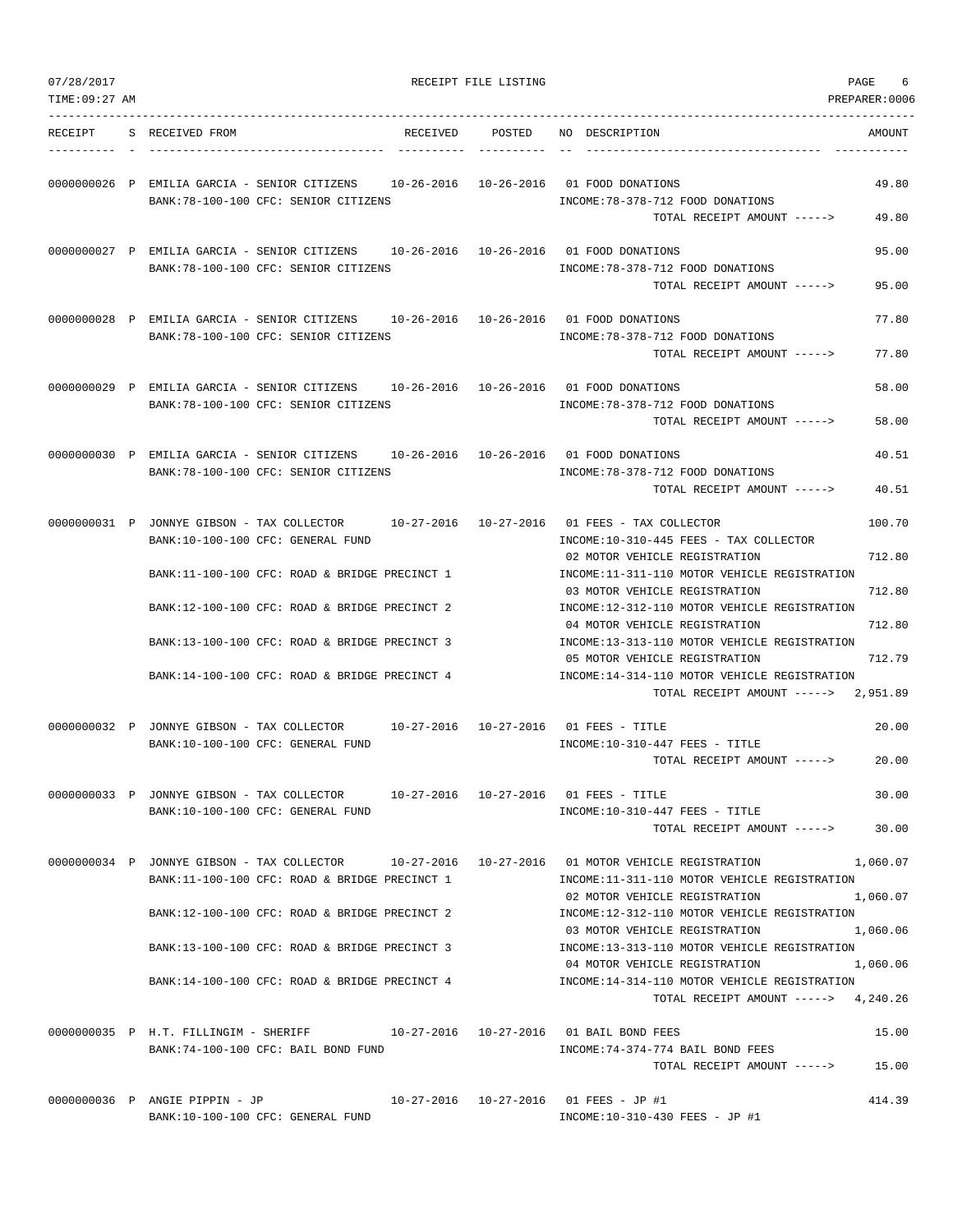| 07/28/2017     |                                                                                                                                                 | RECEIPT FILE LISTING |                                                                                                                       | PAGE<br>6        |
|----------------|-------------------------------------------------------------------------------------------------------------------------------------------------|----------------------|-----------------------------------------------------------------------------------------------------------------------|------------------|
| TIME: 09:27 AM |                                                                                                                                                 |                      |                                                                                                                       | PREPARER: 0006   |
| RECEIPT        | S RECEIVED FROM<br>RECEIVED                                                                                                                     | POSTED               | NO DESCRIPTION                                                                                                        | AMOUNT           |
|                | 0000000026 P EMILIA GARCIA - SENIOR CITIZENS 10-26-2016 10-26-2016 01 FOOD DONATIONS<br>BANK: 78-100-100 CFC: SENIOR CITIZENS                   |                      | INCOME: 78-378-712 FOOD DONATIONS                                                                                     | 49.80            |
|                | 0000000027 P EMILIA GARCIA - SENIOR CITIZENS 10-26-2016 10-26-2016 01 FOOD DONATIONS<br>BANK: 78-100-100 CFC: SENIOR CITIZENS                   |                      | TOTAL RECEIPT AMOUNT -----><br>INCOME: 78-378-712 FOOD DONATIONS                                                      | 49.80<br>95.00   |
|                |                                                                                                                                                 |                      | TOTAL RECEIPT AMOUNT ----->                                                                                           | 95.00            |
|                | 0000000028 P EMILIA GARCIA - SENIOR CITIZENS 10-26-2016 10-26-2016 01 FOOD DONATIONS<br>BANK: 78-100-100 CFC: SENIOR CITIZENS                   |                      | INCOME: 78-378-712 FOOD DONATIONS<br>TOTAL RECEIPT AMOUNT ----->                                                      | 77.80<br>77.80   |
|                | 0000000029 P EMILIA GARCIA - SENIOR CITIZENS 10-26-2016 10-26-2016 01 FOOD DONATIONS<br>BANK: 78-100-100 CFC: SENIOR CITIZENS                   |                      | INCOME: 78-378-712 FOOD DONATIONS                                                                                     | 58.00            |
|                |                                                                                                                                                 |                      | TOTAL RECEIPT AMOUNT ----->                                                                                           | 58.00            |
|                | 0000000030 P EMILIA GARCIA - SENIOR CITIZENS<br>BANK: 78-100-100 CFC: SENIOR CITIZENS                                                           |                      | 10-26-2016  10-26-2016  01 FOOD DONATIONS<br>INCOME: 78-378-712 FOOD DONATIONS<br>TOTAL RECEIPT AMOUNT ----->         | 40.51<br>40.51   |
|                | 0000000031 P JONNYE GIBSON - TAX COLLECTOR 10-27-2016 10-27-2016 01 FEES - TAX COLLECTOR<br>BANK:10-100-100 CFC: GENERAL FUND                   |                      | INCOME:10-310-445 FEES - TAX COLLECTOR                                                                                | 100.70           |
|                | BANK:11-100-100 CFC: ROAD & BRIDGE PRECINCT 1                                                                                                   |                      | 02 MOTOR VEHICLE REGISTRATION<br>INCOME:11-311-110 MOTOR VEHICLE REGISTRATION                                         | 712.80           |
|                | BANK:12-100-100 CFC: ROAD & BRIDGE PRECINCT 2                                                                                                   |                      | 03 MOTOR VEHICLE REGISTRATION<br>INCOME:12-312-110 MOTOR VEHICLE REGISTRATION                                         | 712.80           |
|                | BANK:13-100-100 CFC: ROAD & BRIDGE PRECINCT 3                                                                                                   |                      | 04 MOTOR VEHICLE REGISTRATION<br>INCOME:13-313-110 MOTOR VEHICLE REGISTRATION<br>05 MOTOR VEHICLE REGISTRATION        | 712.80<br>712.79 |
|                | BANK:14-100-100 CFC: ROAD & BRIDGE PRECINCT 4                                                                                                   |                      | INCOME:14-314-110 MOTOR VEHICLE REGISTRATION<br>TOTAL RECEIPT AMOUNT ----->                                           | 2,951.89         |
|                | 0000000032 P JONNYE GIBSON - TAX COLLECTOR 10-27-2016 10-27-2016 01 FEES - TITLE<br>BANK:10-100-100 CFC: GENERAL FUND                           |                      | INCOME:10-310-447 FEES - TITLE                                                                                        | 20.00            |
|                |                                                                                                                                                 |                      | TOTAL RECEIPT AMOUNT ----->                                                                                           | 20.00            |
|                | 0000000033 P JONNYE GIBSON - TAX COLLECTOR 10-27-2016 10-27-2016 01 FEES - TITLE<br>BANK:10-100-100 CFC: GENERAL FUND                           |                      | INCOME:10-310-447 FEES - TITLE<br>TOTAL RECEIPT AMOUNT ----->                                                         | 30.00<br>30.00   |
|                | 0000000034 P JONNYE GIBSON - TAX COLLECTOR 10-27-2016 10-27-2016 01 MOTOR VEHICLE REGISTRATION<br>BANK:11-100-100 CFC: ROAD & BRIDGE PRECINCT 1 |                      | INCOME:11-311-110 MOTOR VEHICLE REGISTRATION                                                                          | 1,060.07         |
|                | BANK:12-100-100 CFC: ROAD & BRIDGE PRECINCT 2                                                                                                   |                      | 02 MOTOR VEHICLE REGISTRATION<br>INCOME:12-312-110 MOTOR VEHICLE REGISTRATION                                         | 1,060.07         |
|                | BANK:13-100-100 CFC: ROAD & BRIDGE PRECINCT 3                                                                                                   |                      | 03 MOTOR VEHICLE REGISTRATION<br>INCOME:13-313-110 MOTOR VEHICLE REGISTRATION                                         | 1,060.06         |
|                | BANK:14-100-100 CFC: ROAD & BRIDGE PRECINCT 4                                                                                                   |                      | 04 MOTOR VEHICLE REGISTRATION<br>INCOME:14-314-110 MOTOR VEHICLE REGISTRATION<br>TOTAL RECEIPT AMOUNT -----> 4,240.26 | 1,060.06         |
|                | 0000000035 P H.T. FILLINGIM - SHERIFF<br>BANK:74-100-100 CFC: BAIL BOND FUND                                                                    |                      | 10-27-2016  10-27-2016  01 BAIL BOND FEES<br>INCOME: 74-374-774 BAIL BOND FEES                                        | 15.00            |
|                |                                                                                                                                                 |                      | TOTAL RECEIPT AMOUNT ----->                                                                                           | 15.00            |
|                | 0000000036 P ANGIE PIPPIN - JP<br>BANK:10-100-100 CFC: GENERAL FUND                                                                             |                      | 10-27-2016  10-27-2016  01 FEES - JP #1<br>INCOME:10-310-430 FEES - JP #1                                             | 414.39           |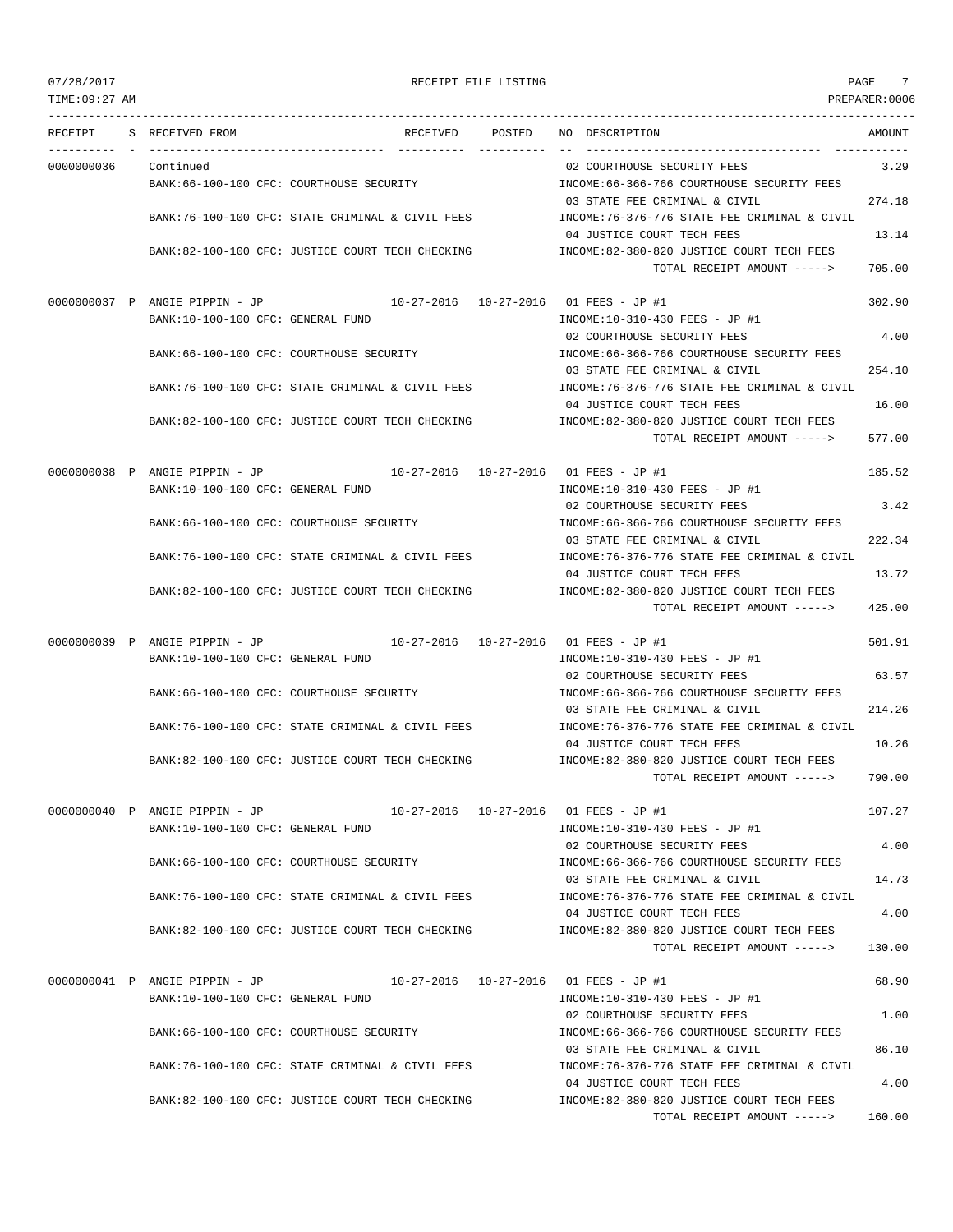TIME:09:27 AM PREPARER:0006 --------------------------------------------------------------------------------------------------------------------------------- RECEIPT S RECEIVED FROM RECEIVED POSTED NO DESCRIPTION AMOUNT ---------- - ----------------------------------- ---------- ---------- -- ----------------------------------- ----------- 0000000036 Continued 02 COURTHOUSE SECURITY FEES 3.29 BANK:66-100-100 CFC: COURTHOUSE SECURITY INCOME:66-366-766 COURTHOUSE SECURITY FEES 03 STATE FEE CRIMINAL & CIVIL 274.18 BANK:76-100-100 CFC: STATE CRIMINAL & CIVIL FEES INCOME:76-376-776 STATE FEE CRIMINAL & CIVIL 04 JUSTICE COURT TECH FEES 13.14 BANK:82-100-100 CFC: JUSTICE COURT TECH CHECKING INCOME:82-380-820 JUSTICE COURT TECH FEES TOTAL RECEIPT AMOUNT -----> 705.00 0000000037 P ANGIE PIPPIN - JP 10-27-2016 10-27-2016 01 FEES - JP #1 302.90 BANK:10-100-100 CFC: GENERAL FUND INCOME:10-310-430 FEES - JP #1 02 COURTHOUSE SECURITY FEES 4.00 BANK:66-100-100 CFC: COURTHOUSE SECURITY INCOME:66-366-766 COURTHOUSE SECURITY FEES 03 STATE FEE CRIMINAL & CIVIL 254.10 BANK:76-100-100 CFC: STATE CRIMINAL & CIVIL FEES INCOME:76-376-776 STATE FEE CRIMINAL & CIVIL 04 JUSTICE COURT TECH FEES 16.00 BANK:82-100-100 CFC: JUSTICE COURT TECH CHECKING INCOME:82-380-820 JUSTICE COURT TECH FEES TOTAL RECEIPT AMOUNT -----> 577.00 0000000038 P ANGIE PIPPIN - JP 10-27-2016 10-27-2016 01 FEES - JP #1 185.52 BANK:10-100-100 CFC: GENERAL FUND INCOME:10-310-430 FEES - JP #1 02 COURTHOUSE SECURITY FEES 3.42 BANK:66-100-100 CFC: COURTHOUSE SECURITY INCOME:66-366-766 COURTHOUSE SECURITY FEES 03 STATE FEE CRIMINAL & CIVIL 222.34 BANK:76-100-100 CFC: STATE CRIMINAL & CIVIL FEES INCOME:76-376-776 STATE FEE CRIMINAL & CIVIL 04 JUSTICE COURT TECH FEES 13.72 BANK:82-100-100 CFC: JUSTICE COURT TECH CHECKING INCOME:82-380-820 JUSTICE COURT TECH FEES TOTAL RECEIPT AMOUNT -----> 425.00 0000000039 P ANGIE PIPPIN - JP 10-27-2016 10-27-2016 01 FEES - JP #1 501.91 BANK:10-100-100 CFC: GENERAL FUND INCOME:10-310-430 FEES - JP #1 02 COURTHOUSE SECURITY FEES 63.57 BANK:66-100-100 CFC: COURTHOUSE SECURITY INCOME:66-366-766 COURTHOUSE SECURITY FEES 03 STATE FEE CRIMINAL & CIVIL 214.26 BANK:76-100-100 CFC: STATE CRIMINAL & CIVIL FEES INCOME:76-376-776 STATE FEE CRIMINAL & CIVIL 04 JUSTICE COURT TECH FEES 10.26 BANK:82-100-100 CFC: JUSTICE COURT TECH CHECKING INCOME:82-380-820 JUSTICE COURT TECH FEES TOTAL RECEIPT AMOUNT -----> 790.00 0000000040 P ANGIE PIPPIN - JP 10-27-2016 10-27-2016 01 FEES - JP #1 107.27 BANK:10-100-100 CFC: GENERAL FUND INCOME:10-310-430 FEES - JP #1 02 COURTHOUSE SECURITY FEES 4.00 BANK:66-100-100 CFC: COURTHOUSE SECURITY INCOME:66-366-766 COURTHOUSE SECURITY FEES 03 STATE FEE CRIMINAL & CIVIL 14.73 BANK:76-100-100 CFC: STATE CRIMINAL & CIVIL FEES INCOME:76-376-776 STATE FEE CRIMINAL & CIVIL 04 JUSTICE COURT TECH FEES 4.00 BANK:82-100-100 CFC: JUSTICE COURT TECH CHECKING INCOME:82-380-820 JUSTICE COURT TECH FEES TOTAL RECEIPT AMOUNT -----> 130.00 0000000041 P ANGIE PIPPIN - JP 10-27-2016 10-27-2016 01 FEES - JP #1 68.90 BANK:10-100-100 CFC: GENERAL FUND INCOME:10-310-430 FEES - JP #1 02 COURTHOUSE SECURITY FEES 1.00 BANK:66-100-100 CFC: COURTHOUSE SECURITY INCOME:66-366-766 COURTHOUSE SECURITY FEES 03 STATE FEE CRIMINAL & CIVIL 86.10 BANK:76-100-100 CFC: STATE CRIMINAL & CIVIL FEES INCOME:76-376-776 STATE FEE CRIMINAL & CIVIL 04 JUSTICE COURT TECH FEES 4.00 BANK:82-100-100 CFC: JUSTICE COURT TECH CHECKING INCOME:82-380-820 JUSTICE COURT TECH FEES TOTAL RECEIPT AMOUNT -----> 160.00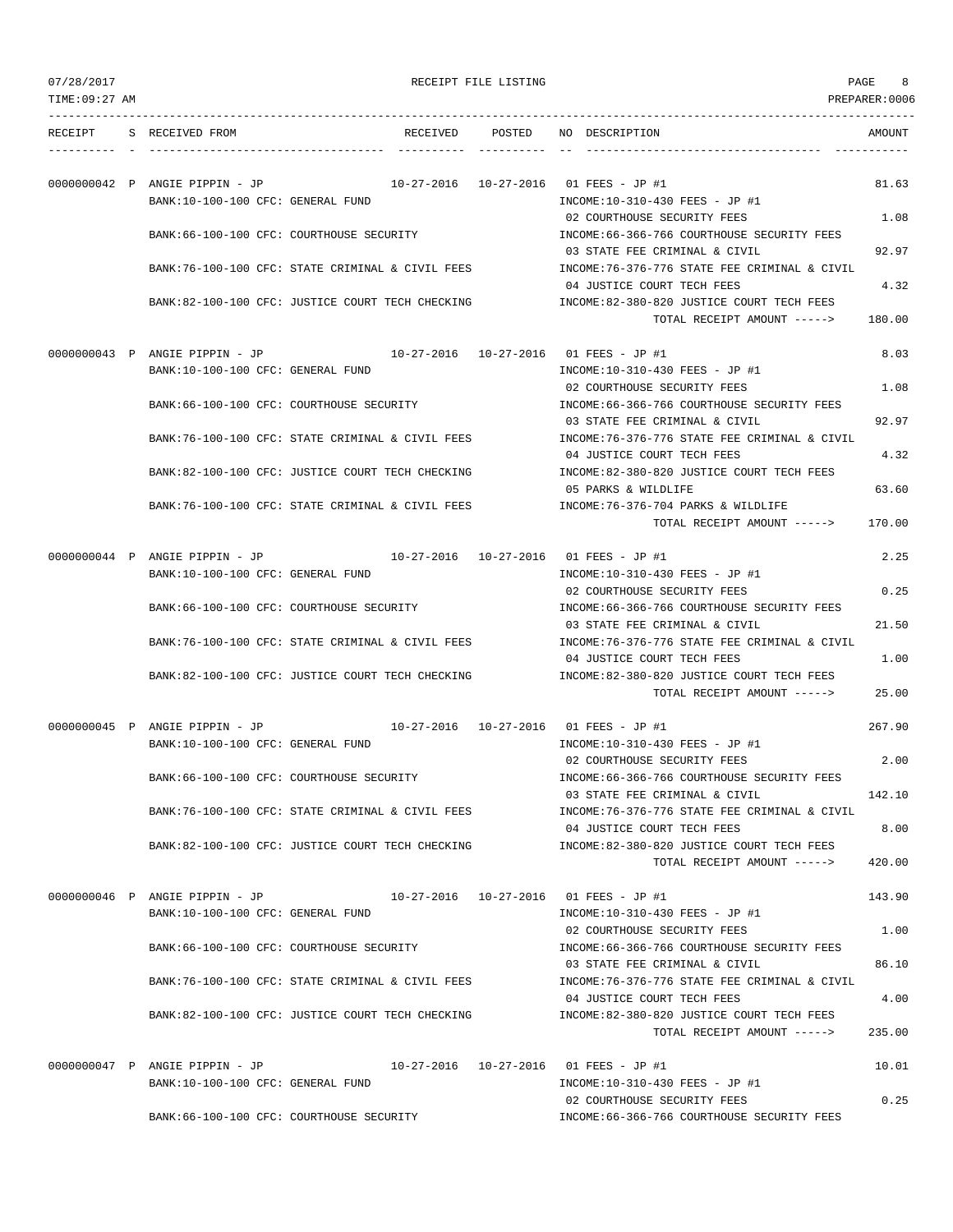| 07/28/2017 |
|------------|
|------------|

PAGE RECEIPT FILE LISTING AND SERVICE SERVICE SERVICE SERVICE SERVICE SERVICE SERVICE SERVICE SERVICE SERVICE S

| TIME:09:27 AM |                                   |                                                   |        |                                                                              | PREPARER:0006 |
|---------------|-----------------------------------|---------------------------------------------------|--------|------------------------------------------------------------------------------|---------------|
| RECEIPT       | S RECEIVED FROM                   | RECEIVED                                          | POSTED | NO DESCRIPTION                                                               | AMOUNT        |
|               | 00000000042 P ANGIE PIPPIN - JP   |                                                   |        | 10-27-2016  10-27-2016  01 FEES - JP #1                                      | 81.63         |
|               | BANK:10-100-100 CFC: GENERAL FUND |                                                   |        | INCOME:10-310-430 FEES - JP #1<br>02 COURTHOUSE SECURITY FEES                | 1.08          |
|               |                                   | BANK:66-100-100 CFC: COURTHOUSE SECURITY          |        | INCOME: 66-366-766 COURTHOUSE SECURITY FEES<br>03 STATE FEE CRIMINAL & CIVIL | 92.97         |
|               |                                   | BANK:76-100-100 CFC: STATE CRIMINAL & CIVIL FEES  |        | INCOME:76-376-776 STATE FEE CRIMINAL & CIVIL<br>04 JUSTICE COURT TECH FEES   | 4.32          |
|               |                                   | BANK:82-100-100 CFC: JUSTICE COURT TECH CHECKING  |        | INCOME:82-380-820 JUSTICE COURT TECH FEES<br>TOTAL RECEIPT AMOUNT ----->     | 180.00        |
|               | 00000000043 P ANGIE PIPPIN - JP   |                                                   |        | 10-27-2016  10-27-2016  01 FEES - JP #1                                      | 8.03          |
|               | BANK:10-100-100 CFC: GENERAL FUND |                                                   |        | INCOME:10-310-430 FEES - JP #1<br>02 COURTHOUSE SECURITY FEES                | 1.08          |
|               |                                   | BANK:66-100-100 CFC: COURTHOUSE SECURITY          |        | INCOME: 66-366-766 COURTHOUSE SECURITY FEES<br>03 STATE FEE CRIMINAL & CIVIL | 92.97         |
|               |                                   | BANK:76-100-100 CFC: STATE CRIMINAL & CIVIL FEES  |        | INCOME: 76-376-776 STATE FEE CRIMINAL & CIVIL<br>04 JUSTICE COURT TECH FEES  | 4.32          |
|               |                                   | BANK:82-100-100 CFC: JUSTICE COURT TECH CHECKING  |        | INCOME:82-380-820 JUSTICE COURT TECH FEES<br>05 PARKS & WILDLIFE             | 63.60         |
|               |                                   | BANK:76-100-100 CFC: STATE CRIMINAL & CIVIL FEES  |        | INCOME: 76-376-704 PARKS & WILDLIFE<br>TOTAL RECEIPT AMOUNT ----->           | 170.00        |
|               | 00000000044 P ANGIE PIPPIN - JP   |                                                   |        | 10-27-2016  10-27-2016  01 FEES - JP #1                                      | 2.25          |
|               | BANK:10-100-100 CFC: GENERAL FUND |                                                   |        | INCOME:10-310-430 FEES - JP #1<br>02 COURTHOUSE SECURITY FEES                | 0.25          |
|               |                                   | BANK:66-100-100 CFC: COURTHOUSE SECURITY          |        | INCOME: 66-366-766 COURTHOUSE SECURITY FEES<br>03 STATE FEE CRIMINAL & CIVIL | 21.50         |
|               |                                   | BANK:76-100-100 CFC: STATE CRIMINAL & CIVIL FEES  |        | INCOME:76-376-776 STATE FEE CRIMINAL & CIVIL<br>04 JUSTICE COURT TECH FEES   | 1.00          |
|               |                                   | BANK:82-100-100 CFC: JUSTICE COURT TECH CHECKING  |        | INCOME:82-380-820 JUSTICE COURT TECH FEES<br>TOTAL RECEIPT AMOUNT ----->     | 25.00         |
|               | 0000000045 P ANGIE PIPPIN - JP    |                                                   |        | 10-27-2016  10-27-2016  01 FEES - JP #1                                      | 267.90        |
|               | BANK:10-100-100 CFC: GENERAL FUND |                                                   |        | INCOME:10-310-430 FEES - JP #1<br>02 COURTHOUSE SECURITY FEES                | 2.00          |
|               |                                   | BANK:66-100-100 CFC: COURTHOUSE SECURITY          |        | INCOME: 66-366-766 COURTHOUSE SECURITY FEES<br>03 STATE FEE CRIMINAL & CIVIL | 142.10        |
|               |                                   | BANK: 76-100-100 CFC: STATE CRIMINAL & CIVIL FEES |        | INCOME: 76-376-776 STATE FEE CRIMINAL & CIVIL<br>04 JUSTICE COURT TECH FEES  | 8.00          |
|               |                                   | BANK:82-100-100 CFC: JUSTICE COURT TECH CHECKING  |        | INCOME:82-380-820 JUSTICE COURT TECH FEES<br>TOTAL RECEIPT AMOUNT ----->     | 420.00        |
|               | 0000000046 P ANGIE PIPPIN - JP    |                                                   |        | 10-27-2016  10-27-2016  01 FEES - JP #1                                      | 143.90        |
|               | BANK:10-100-100 CFC: GENERAL FUND |                                                   |        | INCOME:10-310-430 FEES - JP #1<br>02 COURTHOUSE SECURITY FEES                | 1.00          |
|               |                                   | BANK:66-100-100 CFC: COURTHOUSE SECURITY          |        | INCOME: 66-366-766 COURTHOUSE SECURITY FEES<br>03 STATE FEE CRIMINAL & CIVIL | 86.10         |
|               |                                   | BANK:76-100-100 CFC: STATE CRIMINAL & CIVIL FEES  |        | INCOME: 76-376-776 STATE FEE CRIMINAL & CIVIL<br>04 JUSTICE COURT TECH FEES  | 4.00          |
|               |                                   | BANK:82-100-100 CFC: JUSTICE COURT TECH CHECKING  |        | INCOME:82-380-820 JUSTICE COURT TECH FEES<br>TOTAL RECEIPT AMOUNT ----->     | 235.00        |
|               | 0000000047 P ANGIE PIPPIN - JP    |                                                   |        | 10-27-2016  10-27-2016  01 FEES - JP #1                                      | 10.01         |
|               | BANK:10-100-100 CFC: GENERAL FUND |                                                   |        | INCOME:10-310-430 FEES - JP #1                                               |               |
|               |                                   | BANK:66-100-100 CFC: COURTHOUSE SECURITY          |        | 02 COURTHOUSE SECURITY FEES<br>INCOME:66-366-766 COURTHOUSE SECURITY FEES    | 0.25          |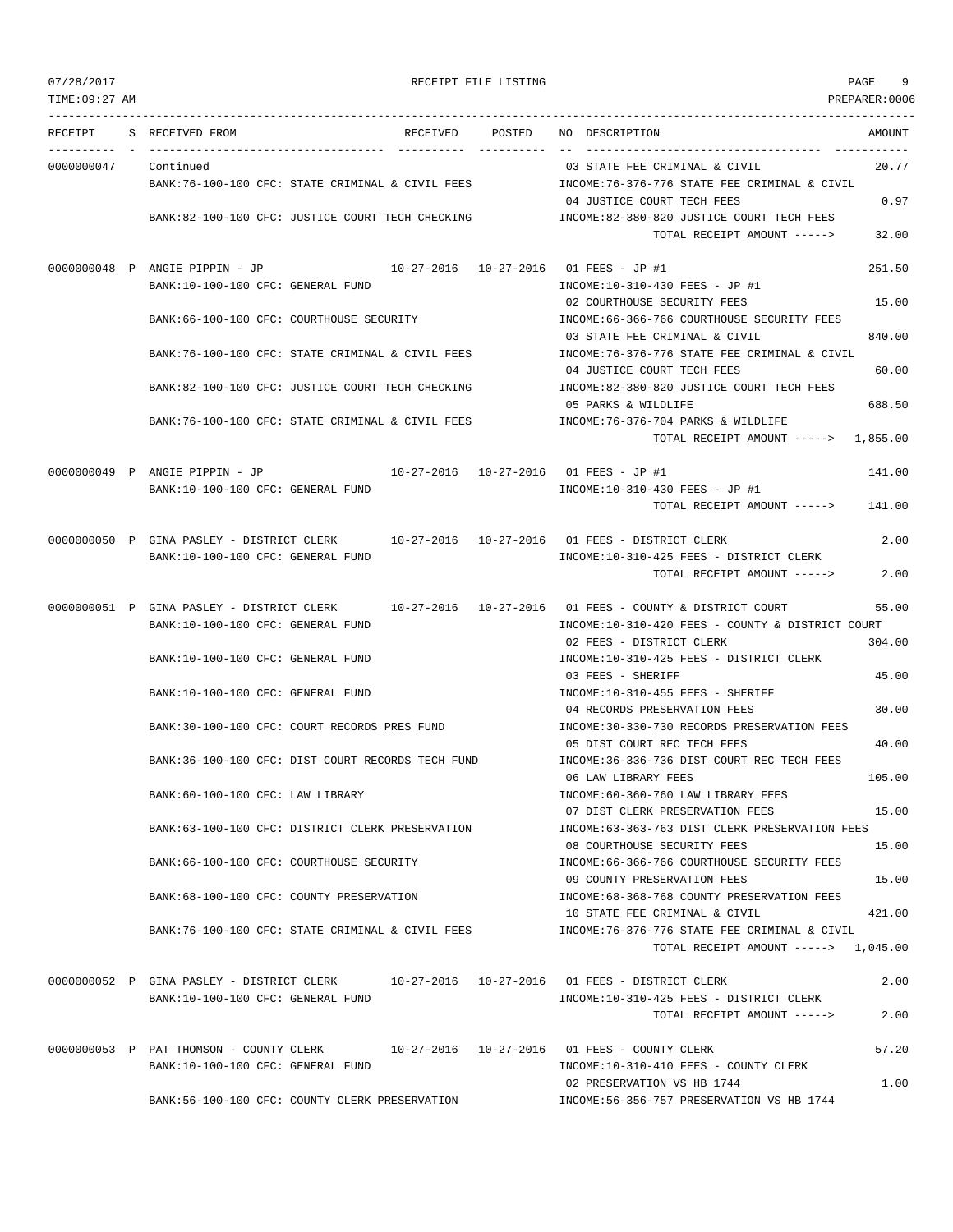| TIME:09:27 AM |                                                                                          |                      |                                                                                       | PREPARER:0006 |
|---------------|------------------------------------------------------------------------------------------|----------------------|---------------------------------------------------------------------------------------|---------------|
| RECEIPT       | S RECEIVED FROM<br>RECEIVED                                                              | POSTED<br>---------- | NO DESCRIPTION                                                                        | AMOUNT        |
| 0000000047    | Continued                                                                                |                      | 03 STATE FEE CRIMINAL & CIVIL                                                         | 20.77         |
|               | BANK:76-100-100 CFC: STATE CRIMINAL & CIVIL FEES                                         |                      | INCOME:76-376-776 STATE FEE CRIMINAL & CIVIL                                          |               |
|               |                                                                                          |                      | 04 JUSTICE COURT TECH FEES                                                            | 0.97          |
|               | BANK:82-100-100 CFC: JUSTICE COURT TECH CHECKING                                         |                      | INCOME:82-380-820 JUSTICE COURT TECH FEES<br>TOTAL RECEIPT AMOUNT ----->              | 32.00         |
|               |                                                                                          |                      |                                                                                       |               |
|               | 0000000048 P ANGIE PIPPIN - JP<br>BANK:10-100-100 CFC: GENERAL FUND                      |                      | 10-27-2016  10-27-2016  01 FEES - JP #1<br>INCOME:10-310-430 FEES - JP #1             | 251.50        |
|               |                                                                                          |                      | 02 COURTHOUSE SECURITY FEES                                                           | 15.00         |
|               | BANK:66-100-100 CFC: COURTHOUSE SECURITY                                                 |                      | INCOME: 66-366-766 COURTHOUSE SECURITY FEES                                           |               |
|               |                                                                                          |                      | 03 STATE FEE CRIMINAL & CIVIL                                                         | 840.00        |
|               | BANK:76-100-100 CFC: STATE CRIMINAL & CIVIL FEES                                         |                      | INCOME:76-376-776 STATE FEE CRIMINAL & CIVIL<br>04 JUSTICE COURT TECH FEES            | 60.00         |
|               | BANK:82-100-100 CFC: JUSTICE COURT TECH CHECKING                                         |                      | INCOME:82-380-820 JUSTICE COURT TECH FEES                                             |               |
|               |                                                                                          |                      | 05 PARKS & WILDLIFE                                                                   | 688.50        |
|               | BANK:76-100-100 CFC: STATE CRIMINAL & CIVIL FEES                                         |                      | INCOME: 76-376-704 PARKS & WILDLIFE                                                   |               |
|               |                                                                                          |                      | TOTAL RECEIPT AMOUNT $---2$ 1,855.00                                                  |               |
|               | $10-27-2016$ $10-27-2016$ 01 FEES - JP #1<br>00000000049 P ANGIE PIPPIN - JP             |                      |                                                                                       | 141.00        |
|               | BANK:10-100-100 CFC: GENERAL FUND                                                        |                      | INCOME:10-310-430 FEES - JP #1                                                        |               |
|               |                                                                                          |                      | TOTAL RECEIPT AMOUNT ----->                                                           | 141.00        |
|               | 0000000050 P GINA PASLEY - DISTRICT CLERK 10-27-2016 10-27-2016 01 FEES - DISTRICT CLERK |                      |                                                                                       | 2.00          |
|               | BANK:10-100-100 CFC: GENERAL FUND                                                        |                      | INCOME:10-310-425 FEES - DISTRICT CLERK                                               |               |
|               |                                                                                          |                      | TOTAL RECEIPT AMOUNT ----->                                                           | 2.00          |
|               | 0000000051 P GINA PASLEY - DISTRICT CLERK                                                |                      | $10-27-2016$ $10-27-2016$ 01 FEES - COUNTY & DISTRICT COURT                           | 55.00         |
|               | BANK:10-100-100 CFC: GENERAL FUND                                                        |                      | INCOME:10-310-420 FEES - COUNTY & DISTRICT COURT                                      |               |
|               | BANK:10-100-100 CFC: GENERAL FUND                                                        |                      | 02 FEES - DISTRICT CLERK<br>INCOME:10-310-425 FEES - DISTRICT CLERK                   | 304.00        |
|               |                                                                                          |                      | 03 FEES - SHERIFF                                                                     | 45.00         |
|               | BANK:10-100-100 CFC: GENERAL FUND                                                        |                      | INCOME:10-310-455 FEES - SHERIFF                                                      |               |
|               |                                                                                          |                      | 04 RECORDS PRESERVATION FEES                                                          | 30.00         |
|               | BANK:30-100-100 CFC: COURT RECORDS PRES FUND                                             |                      | INCOME:30-330-730 RECORDS PRESERVATION FEES<br>05 DIST COURT REC TECH FEES            | 40.00         |
|               | BANK:36-100-100 CFC: DIST COURT RECORDS TECH FUND                                        |                      | INCOME: 36-336-736 DIST COURT REC TECH FEES                                           |               |
|               |                                                                                          |                      | 06 LAW LIBRARY FEES                                                                   | 105.00        |
|               | BANK:60-100-100 CFC: LAW LIBRARY                                                         |                      | INCOME: 60-360-760 LAW LIBRARY FEES<br>07 DIST CLERK PRESERVATION FEES                | 15.00         |
|               | BANK:63-100-100 CFC: DISTRICT CLERK PRESERVATION                                         |                      | INCOME:63-363-763 DIST CLERK PRESERVATION FEES                                        |               |
|               |                                                                                          |                      | 08 COURTHOUSE SECURITY FEES                                                           | 15.00         |
|               | BANK:66-100-100 CFC: COURTHOUSE SECURITY                                                 |                      | INCOME: 66-366-766 COURTHOUSE SECURITY FEES<br>09 COUNTY PRESERVATION FEES            | 15.00         |
|               | BANK:68-100-100 CFC: COUNTY PRESERVATION                                                 |                      | INCOME: 68-368-768 COUNTY PRESERVATION FEES                                           |               |
|               |                                                                                          |                      | 10 STATE FEE CRIMINAL & CIVIL                                                         | 421.00        |
|               | BANK:76-100-100 CFC: STATE CRIMINAL & CIVIL FEES                                         |                      | INCOME: 76-376-776 STATE FEE CRIMINAL & CIVIL<br>TOTAL RECEIPT AMOUNT -----> 1,045.00 |               |
|               |                                                                                          |                      |                                                                                       |               |
|               | 0000000052 P GINA PASLEY - DISTRICT CLERK 10-27-2016 10-27-2016 01 FEES - DISTRICT CLERK |                      |                                                                                       | 2.00          |
|               | BANK:10-100-100 CFC: GENERAL FUND                                                        |                      | INCOME:10-310-425 FEES - DISTRICT CLERK<br>TOTAL RECEIPT AMOUNT ----->                | 2.00          |
|               |                                                                                          |                      |                                                                                       |               |
|               | 0000000053 P PAT THOMSON - COUNTY CLERK                                                  |                      | 10-27-2016  10-27-2016  01 FEES - COUNTY CLERK                                        | 57.20         |
|               | BANK:10-100-100 CFC: GENERAL FUND                                                        |                      | INCOME:10-310-410 FEES - COUNTY CLERK<br>02 PRESERVATION VS HB 1744                   | 1.00          |
|               | BANK:56-100-100 CFC: COUNTY CLERK PRESERVATION                                           |                      | INCOME: 56-356-757 PRESERVATION VS HB 1744                                            |               |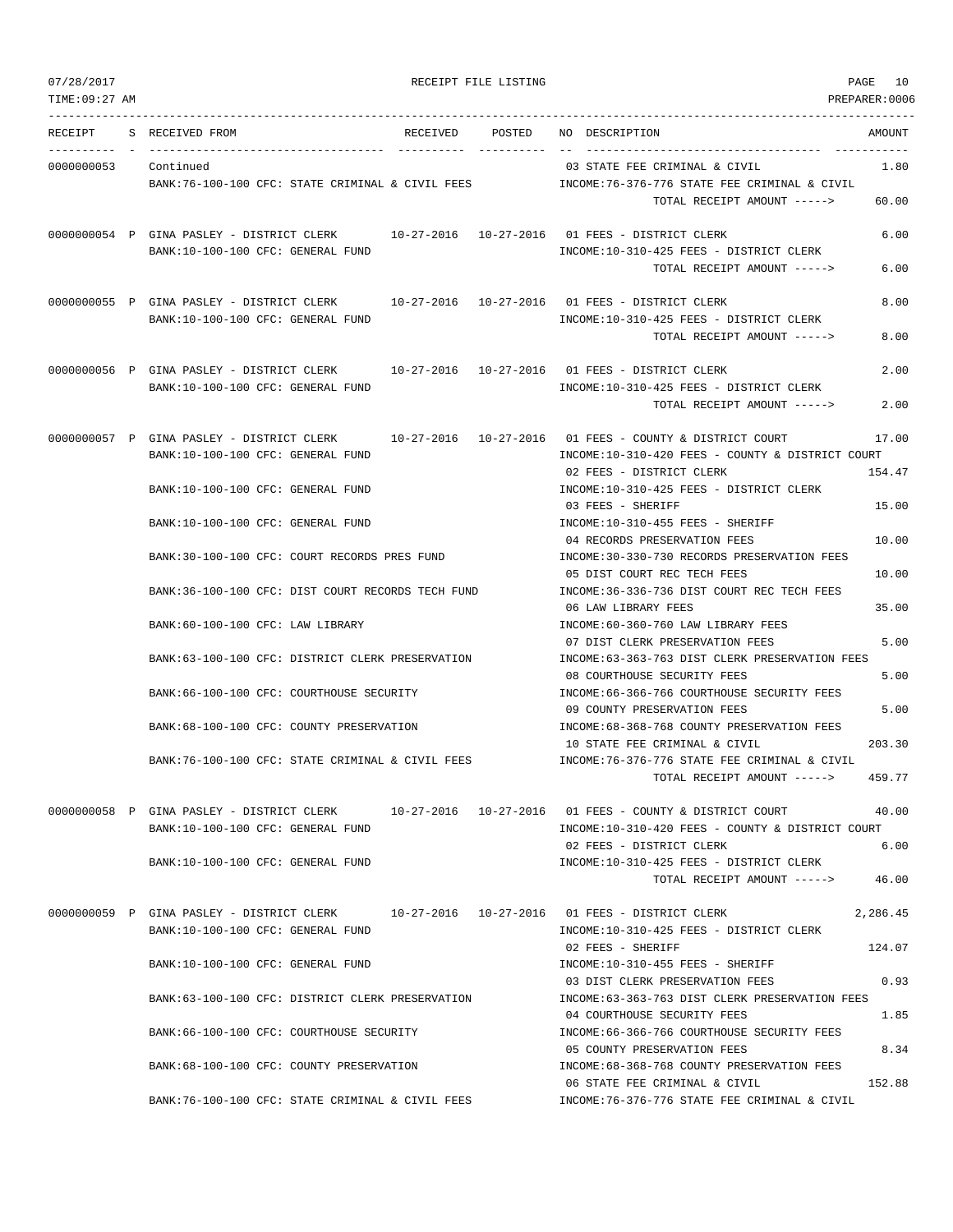|  | 07/28/2017 |  |
|--|------------|--|
|  |            |  |

RECEIPT FILE LISTING **PAGE 10** 

| TIME: 09:27 AM |                                                                                                   |          |        |                                                                                    | PREPARER:0006 |
|----------------|---------------------------------------------------------------------------------------------------|----------|--------|------------------------------------------------------------------------------------|---------------|
| RECEIPT        | S RECEIVED FROM                                                                                   | RECEIVED | POSTED | NO DESCRIPTION                                                                     | AMOUNT        |
| 0000000053     | Continued                                                                                         |          |        | 03 STATE FEE CRIMINAL & CIVIL                                                      | 1.80          |
|                | BANK:76-100-100 CFC: STATE CRIMINAL & CIVIL FEES                                                  |          |        | INCOME:76-376-776 STATE FEE CRIMINAL & CIVIL                                       |               |
|                |                                                                                                   |          |        | TOTAL RECEIPT AMOUNT ----->                                                        | 60.00         |
|                | 0000000054 P GINA PASLEY - DISTRICT CLERK 10-27-2016 10-27-2016 01 FEES - DISTRICT CLERK          |          |        |                                                                                    | 6.00          |
|                | BANK:10-100-100 CFC: GENERAL FUND                                                                 |          |        | INCOME:10-310-425 FEES - DISTRICT CLERK                                            |               |
|                |                                                                                                   |          |        | TOTAL RECEIPT AMOUNT ----->                                                        | 6.00          |
|                | 0000000055 P GINA PASLEY - DISTRICT CLERK 10-27-2016 10-27-2016 01 FEES - DISTRICT CLERK          |          |        |                                                                                    | 8.00          |
|                | BANK:10-100-100 CFC: GENERAL FUND                                                                 |          |        | INCOME:10-310-425 FEES - DISTRICT CLERK                                            |               |
|                |                                                                                                   |          |        | TOTAL RECEIPT AMOUNT ----->                                                        | 8.00          |
|                | 0000000056 P GINA PASLEY - DISTRICT CLERK                                                         |          |        | 10-27-2016  10-27-2016  01 FEES - DISTRICT CLERK                                   | 2.00          |
|                | BANK:10-100-100 CFC: GENERAL FUND                                                                 |          |        | INCOME:10-310-425 FEES - DISTRICT CLERK                                            |               |
|                |                                                                                                   |          |        | TOTAL RECEIPT AMOUNT ----->                                                        | 2.00          |
|                | 0000000057 P GINA PASLEY - DISTRICT CLERK                                                         |          |        | 10-27-2016  10-27-2016  01 FEES - COUNTY & DISTRICT COURT                          | 17.00         |
|                | BANK:10-100-100 CFC: GENERAL FUND                                                                 |          |        | INCOME:10-310-420 FEES - COUNTY & DISTRICT COURT                                   |               |
|                |                                                                                                   |          |        | 02 FEES - DISTRICT CLERK                                                           | 154.47        |
|                | BANK:10-100-100 CFC: GENERAL FUND                                                                 |          |        | INCOME:10-310-425 FEES - DISTRICT CLERK                                            |               |
|                | BANK:10-100-100 CFC: GENERAL FUND                                                                 |          |        | 03 FEES - SHERIFF<br>INCOME:10-310-455 FEES - SHERIFF                              | 15.00         |
|                |                                                                                                   |          |        | 04 RECORDS PRESERVATION FEES                                                       | 10.00         |
|                | BANK:30-100-100 CFC: COURT RECORDS PRES FUND                                                      |          |        | INCOME: 30-330-730 RECORDS PRESERVATION FEES                                       |               |
|                |                                                                                                   |          |        | 05 DIST COURT REC TECH FEES                                                        | 10.00         |
|                | BANK:36-100-100 CFC: DIST COURT RECORDS TECH FUND                                                 |          |        | INCOME: 36-336-736 DIST COURT REC TECH FEES                                        |               |
|                |                                                                                                   |          |        | 06 LAW LIBRARY FEES                                                                | 35.00         |
|                | BANK:60-100-100 CFC: LAW LIBRARY                                                                  |          |        | INCOME:60-360-760 LAW LIBRARY FEES<br>07 DIST CLERK PRESERVATION FEES              | 5.00          |
|                | BANK:63-100-100 CFC: DISTRICT CLERK PRESERVATION                                                  |          |        | INCOME:63-363-763 DIST CLERK PRESERVATION FEES                                     |               |
|                |                                                                                                   |          |        | 08 COURTHOUSE SECURITY FEES                                                        | 5.00          |
|                | BANK:66-100-100 CFC: COURTHOUSE SECURITY                                                          |          |        | INCOME:66-366-766 COURTHOUSE SECURITY FEES                                         |               |
|                |                                                                                                   |          |        | 09 COUNTY PRESERVATION FEES                                                        | 5.00          |
|                | BANK: 68-100-100 CFC: COUNTY PRESERVATION                                                         |          |        | INCOME: 68-368-768 COUNTY PRESERVATION FEES                                        |               |
|                |                                                                                                   |          |        | 10 STATE FEE CRIMINAL & CIVIL                                                      | 203.30        |
|                | BANK:76-100-100 CFC: STATE CRIMINAL & CIVIL FEES                                                  |          |        | INCOME:76-376-776 STATE FEE CRIMINAL & CIVIL<br>TOTAL RECEIPT AMOUNT ----->        | 459.77        |
|                |                                                                                                   |          |        |                                                                                    |               |
|                | 0000000058 P GINA PASLEY - DISTRICT CLERK 10-27-2016 10-27-2016 01 FEES - COUNTY & DISTRICT COURT |          |        |                                                                                    | 40.00         |
|                | BANK:10-100-100 CFC: GENERAL FUND                                                                 |          |        | INCOME:10-310-420 FEES - COUNTY & DISTRICT COURT                                   |               |
|                |                                                                                                   |          |        | 02 FEES - DISTRICT CLERK                                                           | 6.00          |
|                | BANK:10-100-100 CFC: GENERAL FUND                                                                 |          |        | INCOME:10-310-425 FEES - DISTRICT CLERK                                            | 46.00         |
|                |                                                                                                   |          |        | TOTAL RECEIPT AMOUNT ----->                                                        |               |
|                | 0000000059 P GINA PASLEY - DISTRICT CLERK                                                         |          |        | 10-27-2016  10-27-2016  01 FEES - DISTRICT CLERK                                   | 2,286.45      |
|                | BANK:10-100-100 CFC: GENERAL FUND                                                                 |          |        | INCOME:10-310-425 FEES - DISTRICT CLERK                                            |               |
|                |                                                                                                   |          |        | 02 FEES - SHERIFF                                                                  | 124.07        |
|                | BANK:10-100-100 CFC: GENERAL FUND                                                                 |          |        | INCOME:10-310-455 FEES - SHERIFF                                                   |               |
|                | BANK:63-100-100 CFC: DISTRICT CLERK PRESERVATION                                                  |          |        | 03 DIST CLERK PRESERVATION FEES<br>INCOME: 63-363-763 DIST CLERK PRESERVATION FEES | 0.93          |
|                |                                                                                                   |          |        | 04 COURTHOUSE SECURITY FEES                                                        | 1.85          |
|                | BANK:66-100-100 CFC: COURTHOUSE SECURITY                                                          |          |        | INCOME:66-366-766 COURTHOUSE SECURITY FEES                                         |               |
|                |                                                                                                   |          |        | 05 COUNTY PRESERVATION FEES                                                        | 8.34          |
|                | BANK:68-100-100 CFC: COUNTY PRESERVATION                                                          |          |        | INCOME:68-368-768 COUNTY PRESERVATION FEES                                         |               |
|                |                                                                                                   |          |        | 06 STATE FEE CRIMINAL & CIVIL                                                      | 152.88        |

BANK:76-100-100 CFC: STATE CRIMINAL & CIVIL FEES INCOME:76-376-776 STATE FEE CRIMINAL & CIVIL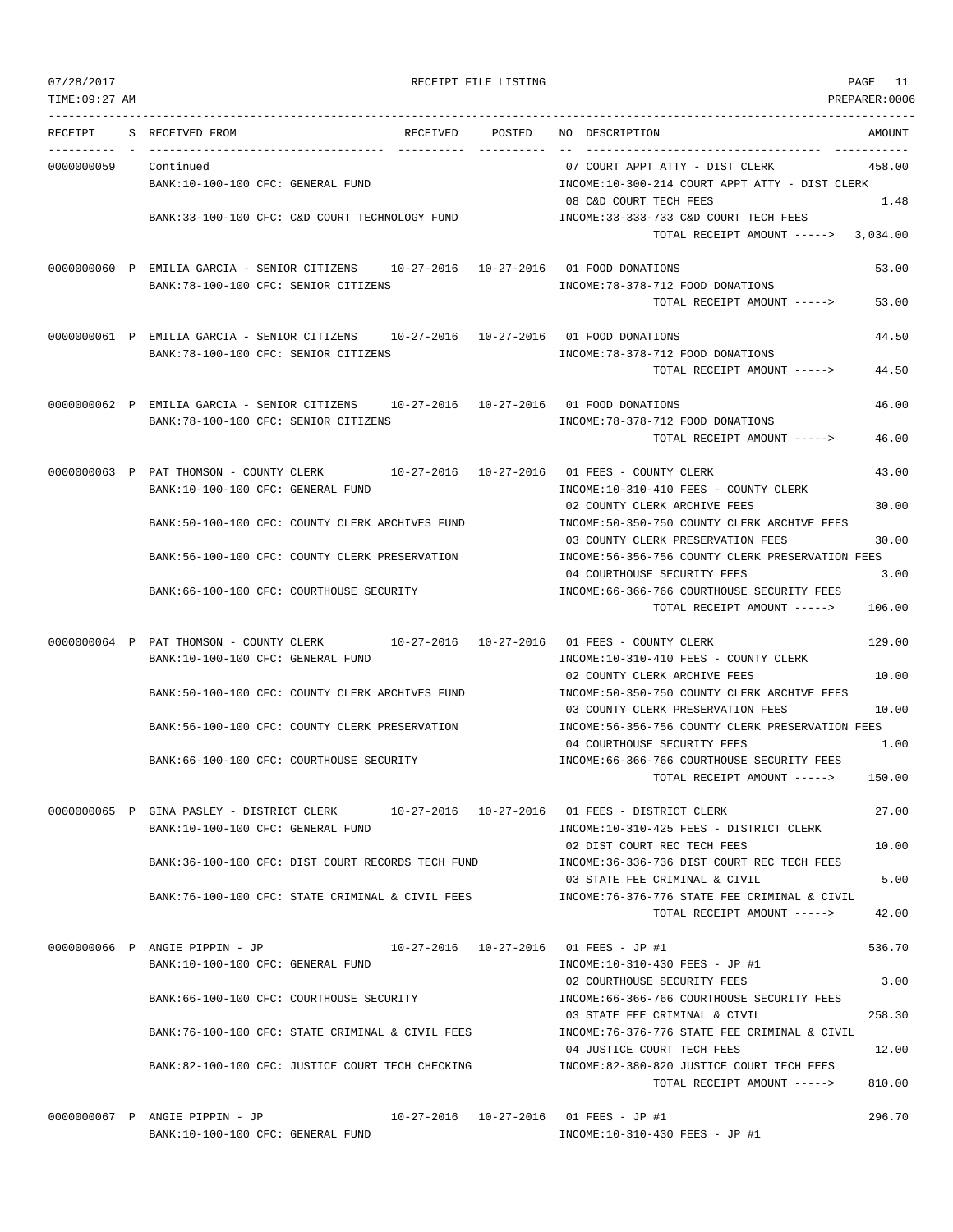TIME:09:27 AM PREPARER:0006 --------------------------------------------------------------------------------------------------------------------------------- RECEIPT S RECEIVED FROM THE RECEIVED POSTED NO DESCRIPTION THE RECEIVED AMOUNT ---------- - ----------------------------------- ---------- ---------- -- ----------------------------------- ----------- 0000000059 Continued 07 COURT APPT ATTY - DIST CLERK 458.00 BANK:10-100-100 CFC: GENERAL FUND INCOME:10-300-214 COURT APPT ATTY - DIST CLERK 08 C&D COURT TECH FEES 1.48 BANK:33-100-100 CFC: C&D COURT TECHNOLOGY FUND INCOME:33-333-733 C&D COURT TECH FEES TOTAL RECEIPT AMOUNT -----> 3,034.00 0000000060 P EMILIA GARCIA - SENIOR CITIZENS 10-27-2016 10-27-2016 01 FOOD DONATIONS 53.00 BANK:78-100-100 CFC: SENIOR CITIZENS INCOME:78-378-712 FOOD DONATIONS TOTAL RECEIPT AMOUNT -----> 53.00 0000000061 P EMILIA GARCIA - SENIOR CITIZENS 10-27-2016 10-27-2016 01 FOOD DONATIONS 44.50 BANK:78-100-100 CFC: SENIOR CITIZENS INCOME:78-378-712 FOOD DONATIONS TOTAL RECEIPT AMOUNT -----> 44.50 0000000062 P EMILIA GARCIA - SENIOR CITIZENS 10-27-2016 10-27-2016 01 FOOD DONATIONS 46.00 BANK:78-100-100 CFC: SENIOR CITIZENS INCOME:78-378-712 FOOD DONATIONS TOTAL RECEIPT AMOUNT -----> 46.00 0000000063 P PAT THOMSON - COUNTY CLERK 10-27-2016 10-27-2016 01 FEES - COUNTY CLERK 43.00 BANK:10-100-100 CFC: GENERAL FUND INCOME:10-310-410 FEES - COUNTY CLERK 02 COUNTY CLERK ARCHIVE FEES 30.00 BANK:50-100-100 CFC: COUNTY CLERK ARCHIVES FUND INCOME:50-350-750 COUNTY CLERK ARCHIVE FEES 03 COUNTY CLERK PRESERVATION FEES 30.00 BANK:56-100-100 CFC: COUNTY CLERK PRESERVATION INCOME:56-356-756 COUNTY CLERK PRESERVATION FEES 04 COURTHOUSE SECURITY FEES 3.00 BANK:66-100-100 CFC: COURTHOUSE SECURITY INCOME:66-366-766 COURTHOUSE SECURITY FEES TOTAL RECEIPT AMOUNT -----> 106.00 0000000064 P PAT THOMSON - COUNTY CLERK 10-27-2016 10-27-2016 01 FEES - COUNTY CLERK 129.00 BANK:10-100-100 CFC: GENERAL FUND INCOME:10-310-410 FEES - COUNTY CLERK 02 COUNTY CLERK ARCHIVE FEES 10.00 BANK:50-100-100 CFC: COUNTY CLERK ARCHIVES FUND INCOME:50-350-750 COUNTY CLERK ARCHIVE FEES 03 COUNTY CLERK PRESERVATION FEES 10.00 BANK:56-100-100 CFC: COUNTY CLERK PRESERVATION INCOME:56-356-756 COUNTY CLERK PRESERVATION FEES 04 COURTHOUSE SECURITY FEES 1.00 BANK:66-100-100 CFC: COURTHOUSE SECURITY INCOME:66-366-766 COURTHOUSE SECURITY FEES TOTAL RECEIPT AMOUNT -----> 150.00 0000000065 P GINA PASLEY - DISTRICT CLERK 10-27-2016 10-27-2016 01 FEES - DISTRICT CLERK 27.00 BANK:10-100-100 CFC: GENERAL FUND INCOME:10-310-425 FEES - DISTRICT CLERK 02 DIST COURT REC TECH FEES 10.00 BANK:36-100-100 CFC: DIST COURT RECORDS TECH FUND INCOME:36-336-736 DIST COURT REC TECH FEES 03 STATE FEE CRIMINAL & CIVIL 5.00 BANK:76-100-100 CFC: STATE CRIMINAL & CIVIL FEES INCOME:76-376-776 STATE FEE CRIMINAL & CIVIL TOTAL RECEIPT AMOUNT -----> 42.00 0000000066 P ANGIE PIPPIN - JP 10-27-2016 10-27-2016 01 FEES - JP #1 536.70 BANK:10-100-100 CFC: GENERAL FUND INCOME:10-310-430 FEES - JP #1 02 COURTHOUSE SECURITY FEES 3.00 BANK:66-100-100 CFC: COURTHOUSE SECURITY INCOME:66-366-766 COURTHOUSE SECURITY FEES 03 STATE FEE CRIMINAL & CIVIL 258.30 BANK:76-100-100 CFC: STATE CRIMINAL & CIVIL FEES INCOME:76-376-776 STATE FEE CRIMINAL & CIVIL 04 JUSTICE COURT TECH FEES 12.00 BANK:82-100-100 CFC: JUSTICE COURT TECH CHECKING INCOME:82-380-820 JUSTICE COURT TECH FEES TOTAL RECEIPT AMOUNT -----> 810.00 0000000067 P ANGIE PIPPIN - JP 10-27-2016 10-27-2016 01 FEES - JP #1 296.70

BANK:10-100-100 CFC: GENERAL FUND INCOME:10-310-430 FEES - JP #1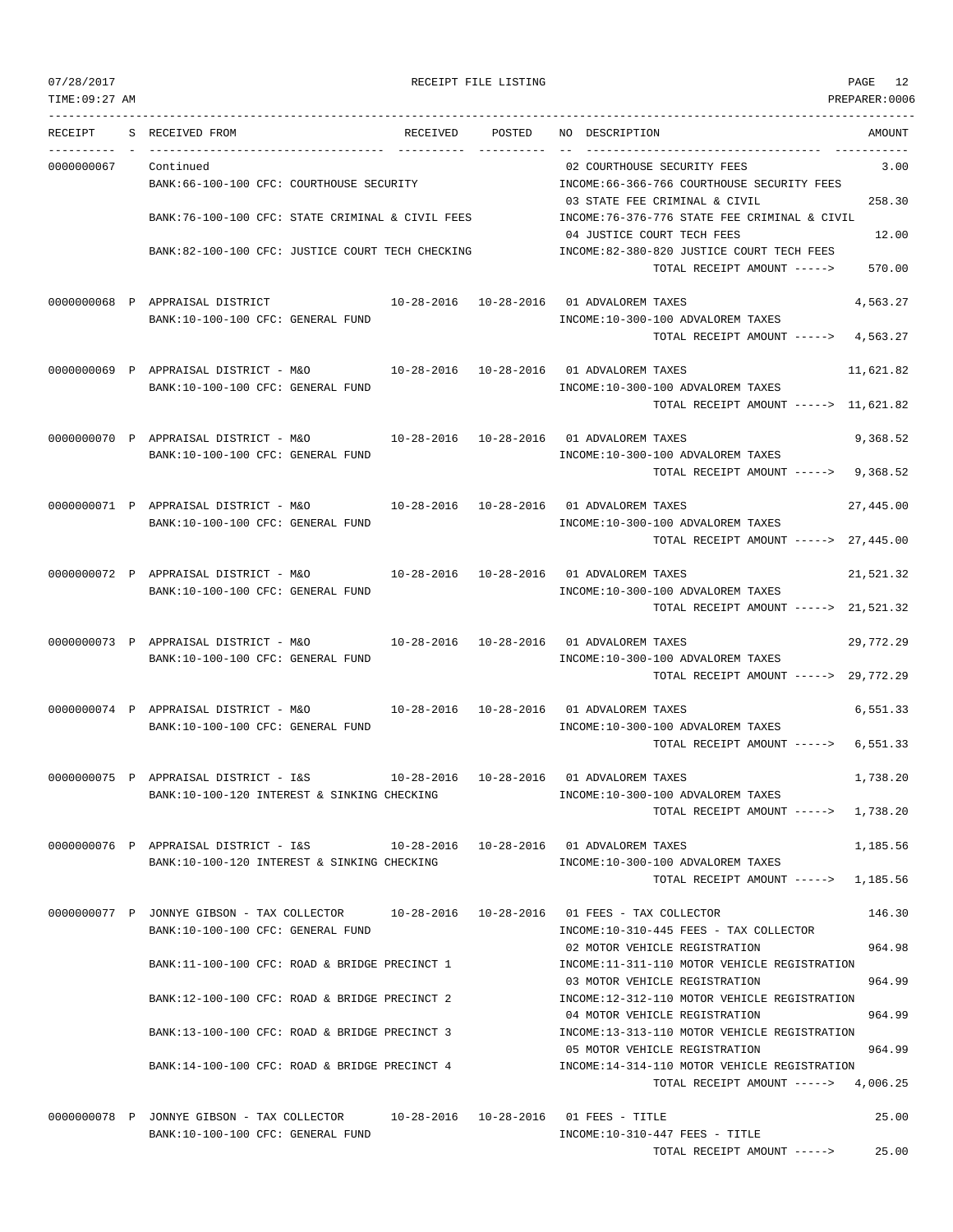| TIME: 09:27 AM |                                                                                          |                        | PREPARER:0006                                                                                |  |
|----------------|------------------------------------------------------------------------------------------|------------------------|----------------------------------------------------------------------------------------------|--|
| RECEIPT        | S RECEIVED FROM                                                                          | RECEIVED POSTED        | NO DESCRIPTION<br>AMOUNT                                                                     |  |
| 0000000067     | Continued                                                                                |                        | 02 COURTHOUSE SECURITY FEES<br>3.00                                                          |  |
|                | BANK: 66-100-100 CFC: COURTHOUSE SECURITY                                                |                        | INCOME: 66-366-766 COURTHOUSE SECURITY FEES                                                  |  |
|                |                                                                                          |                        | 258.30<br>03 STATE FEE CRIMINAL & CIVIL                                                      |  |
|                | BANK:76-100-100 CFC: STATE CRIMINAL & CIVIL FEES                                         |                        | INCOME:76-376-776 STATE FEE CRIMINAL & CIVIL                                                 |  |
|                |                                                                                          |                        | 12.00<br>04 JUSTICE COURT TECH FEES                                                          |  |
|                | BANK:82-100-100 CFC: JUSTICE COURT TECH CHECKING                                         |                        | INCOME:82-380-820 JUSTICE COURT TECH FEES<br>570.00<br>TOTAL RECEIPT AMOUNT ----->           |  |
|                | 0000000068 P APPRAISAL DISTRICT                                                          |                        | 10-28-2016  10-28-2016  01 ADVALOREM TAXES<br>4,563.27                                       |  |
|                | BANK:10-100-100 CFC: GENERAL FUND                                                        |                        | INCOME:10-300-100 ADVALOREM TAXES                                                            |  |
|                |                                                                                          |                        | TOTAL RECEIPT AMOUNT -----> 4,563.27                                                         |  |
|                |                                                                                          |                        |                                                                                              |  |
|                | 0000000069 P APPRAISAL DISTRICT - M&O                                                    |                        | 10-28-2016  10-28-2016  01 ADVALOREM TAXES<br>11,621.82                                      |  |
|                | BANK:10-100-100 CFC: GENERAL FUND                                                        |                        | INCOME:10-300-100 ADVALOREM TAXES<br>TOTAL RECEIPT AMOUNT -----> 11,621.82                   |  |
|                |                                                                                          |                        |                                                                                              |  |
|                | 0000000070 P APPRAISAL DISTRICT - M&O                                                    | 10-28-2016  10-28-2016 | 01 ADVALOREM TAXES<br>9,368.52                                                               |  |
|                | BANK:10-100-100 CFC: GENERAL FUND                                                        |                        | INCOME:10-300-100 ADVALOREM TAXES                                                            |  |
|                |                                                                                          |                        | TOTAL RECEIPT AMOUNT -----> 9,368.52                                                         |  |
|                | 0000000071 P APPRAISAL DISTRICT - M&O                                                    |                        |                                                                                              |  |
|                | BANK:10-100-100 CFC: GENERAL FUND                                                        |                        | 10-28-2016  10-28-2016  01 ADVALOREM TAXES<br>27,445.00<br>INCOME:10-300-100 ADVALOREM TAXES |  |
|                |                                                                                          |                        | TOTAL RECEIPT AMOUNT -----> 27,445.00                                                        |  |
|                |                                                                                          |                        |                                                                                              |  |
|                | 0000000072 P APPRAISAL DISTRICT - M&O                                                    |                        | 10-28-2016  10-28-2016  01 ADVALOREM TAXES<br>21,521.32                                      |  |
|                | BANK:10-100-100 CFC: GENERAL FUND                                                        |                        | INCOME:10-300-100 ADVALOREM TAXES                                                            |  |
|                |                                                                                          |                        | TOTAL RECEIPT AMOUNT -----> 21,521.32                                                        |  |
|                | 0000000073 P APPRAISAL DISTRICT - M&O                                                    |                        | 10-28-2016  10-28-2016  01 ADVALOREM TAXES<br>29,772.29                                      |  |
|                | BANK:10-100-100 CFC: GENERAL FUND                                                        |                        | INCOME:10-300-100 ADVALOREM TAXES                                                            |  |
|                |                                                                                          |                        | TOTAL RECEIPT AMOUNT -----> 29,772.29                                                        |  |
|                |                                                                                          |                        |                                                                                              |  |
|                | 0000000074 P APPRAISAL DISTRICT - M&O<br>BANK:10-100-100 CFC: GENERAL FUND               |                        | 10-28-2016  10-28-2016  01 ADVALOREM TAXES<br>6,551.33<br>INCOME:10-300-100 ADVALOREM TAXES  |  |
|                |                                                                                          |                        | TOTAL RECEIPT AMOUNT -----> 6,551.33                                                         |  |
|                |                                                                                          |                        |                                                                                              |  |
|                | 0000000075 P APPRAISAL DISTRICT - I&S                                                    |                        | 10-28-2016  10-28-2016  01 ADVALOREM TAXES<br>1,738.20                                       |  |
|                | BANK:10-100-120 INTEREST & SINKING CHECKING                                              |                        | INCOME:10-300-100 ADVALOREM TAXES                                                            |  |
|                |                                                                                          |                        | TOTAL RECEIPT AMOUNT -----> 1,738.20                                                         |  |
|                | 0000000076 P APPRAISAL DISTRICT - I&S 10-28-2016 10-28-2016 01 ADVALOREM TAXES           |                        | 1,185.56                                                                                     |  |
|                | BANK:10-100-120 INTEREST & SINKING CHECKING                                              |                        | INCOME:10-300-100 ADVALOREM TAXES                                                            |  |
|                |                                                                                          |                        | TOTAL RECEIPT AMOUNT -----> 1,185.56                                                         |  |
|                | 0000000077 P JONNYE GIBSON - TAX COLLECTOR 10-28-2016 10-28-2016 01 FEES - TAX COLLECTOR |                        | 146.30                                                                                       |  |
|                | BANK:10-100-100 CFC: GENERAL FUND                                                        |                        | INCOME:10-310-445 FEES - TAX COLLECTOR                                                       |  |
|                |                                                                                          |                        | 02 MOTOR VEHICLE REGISTRATION<br>964.98                                                      |  |
|                | BANK:11-100-100 CFC: ROAD & BRIDGE PRECINCT 1                                            |                        | INCOME:11-311-110 MOTOR VEHICLE REGISTRATION                                                 |  |
|                |                                                                                          |                        | 03 MOTOR VEHICLE REGISTRATION<br>964.99                                                      |  |
|                | BANK:12-100-100 CFC: ROAD & BRIDGE PRECINCT 2                                            |                        | INCOME:12-312-110 MOTOR VEHICLE REGISTRATION                                                 |  |
|                | BANK:13-100-100 CFC: ROAD & BRIDGE PRECINCT 3                                            |                        | 964.99<br>04 MOTOR VEHICLE REGISTRATION<br>INCOME:13-313-110 MOTOR VEHICLE REGISTRATION      |  |
|                |                                                                                          |                        | 964.99<br>05 MOTOR VEHICLE REGISTRATION                                                      |  |
|                | BANK:14-100-100 CFC: ROAD & BRIDGE PRECINCT 4                                            |                        | INCOME:14-314-110 MOTOR VEHICLE REGISTRATION                                                 |  |
|                |                                                                                          |                        | TOTAL RECEIPT AMOUNT $--- 2$ 4,006.25                                                        |  |
|                | 0000000078 P JONNYE GIBSON - TAX COLLECTOR 10-28-2016 10-28-2016 01 FEES - TITLE         |                        | 25.00                                                                                        |  |
|                | BANK:10-100-100 CFC: GENERAL FUND                                                        |                        | $INCOME:10-310-447$ FEES - TITLE                                                             |  |

TOTAL RECEIPT AMOUNT -----> 25.00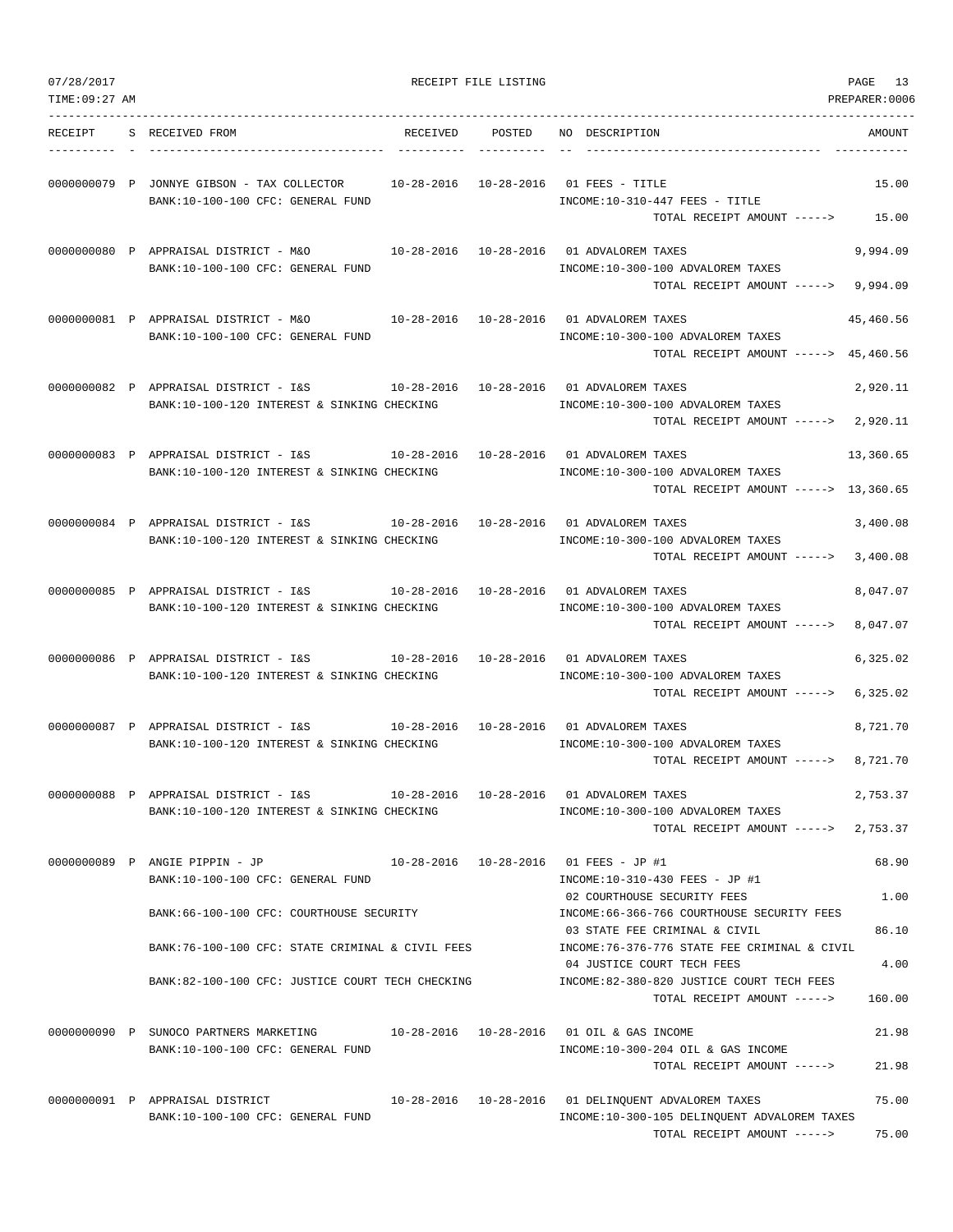| 07/28/2017<br>TIME: 09:27 AM |                                                                                                                                 |                                   | RECEIPT FILE LISTING |                                                                                                                          | PAGE<br>13<br>PREPARER:0006 |
|------------------------------|---------------------------------------------------------------------------------------------------------------------------------|-----------------------------------|----------------------|--------------------------------------------------------------------------------------------------------------------------|-----------------------------|
| RECEIPT                      | S RECEIVED FROM                                                                                                                 | RECEIVED                          | POSTED               | NO DESCRIPTION                                                                                                           | AMOUNT                      |
|                              | 0000000079 P JONNYE GIBSON - TAX COLLECTOR<br>BANK:10-100-100 CFC: GENERAL FUND                                                 | $10 - 28 - 2016$ $10 - 28 - 2016$ |                      | 01 FEES - TITLE<br>INCOME:10-310-447 FEES - TITLE<br>TOTAL RECEIPT AMOUNT ----->                                         | 15.00<br>15.00              |
|                              | 0000000080 P APPRAISAL DISTRICT - M&O<br>BANK:10-100-100 CFC: GENERAL FUND                                                      |                                   |                      | 10-28-2016  10-28-2016  01 ADVALOREM TAXES<br>INCOME:10-300-100 ADVALOREM TAXES<br>TOTAL RECEIPT AMOUNT ----->           | 9,994.09<br>9,994.09        |
|                              | 0000000081 P APPRAISAL DISTRICT - M&O<br>BANK:10-100-100 CFC: GENERAL FUND                                                      |                                   |                      | 10-28-2016  10-28-2016  01 ADVALOREM TAXES<br>INCOME:10-300-100 ADVALOREM TAXES<br>TOTAL RECEIPT AMOUNT -----> 45,460.56 | 45,460.56                   |
|                              | 0000000082 P APPRAISAL DISTRICT - I&S<br>BANK:10-100-120 INTEREST & SINKING CHECKING                                            |                                   |                      | 10-28-2016  10-28-2016  01 ADVALOREM TAXES<br>INCOME:10-300-100 ADVALOREM TAXES<br>TOTAL RECEIPT AMOUNT -----> 2,920.11  | 2,920.11                    |
|                              | 0000000083 P APPRAISAL DISTRICT - I&S $10-28-2016$ 10-28-2016 01 ADVALOREM TAXES<br>BANK:10-100-120 INTEREST & SINKING CHECKING |                                   |                      | INCOME:10-300-100 ADVALOREM TAXES<br>TOTAL RECEIPT AMOUNT -----> 13,360.65                                               | 13,360.65                   |
|                              | 0000000084 P APPRAISAL DISTRICT - I&S<br>BANK:10-100-120 INTEREST & SINKING CHECKING                                            |                                   |                      | 10-28-2016  10-28-2016  01 ADVALOREM TAXES<br>INCOME:10-300-100 ADVALOREM TAXES<br>TOTAL RECEIPT AMOUNT ----->           | 3,400.08<br>3,400.08        |
|                              | 0000000085 P APPRAISAL DISTRICT - I&S<br>BANK:10-100-120 INTEREST & SINKING CHECKING                                            |                                   |                      | 10-28-2016  10-28-2016  01 ADVALOREM TAXES<br>INCOME:10-300-100 ADVALOREM TAXES<br>TOTAL RECEIPT AMOUNT ----->           | 8,047.07<br>8,047.07        |
|                              | 0000000086 P APPRAISAL DISTRICT - I&S<br>BANK:10-100-120 INTEREST & SINKING CHECKING                                            |                                   |                      | 10-28-2016  10-28-2016  01 ADVALOREM TAXES<br>INCOME:10-300-100 ADVALOREM TAXES<br>TOTAL RECEIPT AMOUNT ----->           | 6,325.02<br>6,325.02        |
|                              | 0000000087 P APPRAISAL DISTRICT - I&S<br>BANK:10-100-120 INTEREST & SINKING CHECKING                                            | 10-28-2016  10-28-2016            |                      | 01 ADVALOREM TAXES<br>INCOME:10-300-100 ADVALOREM TAXES<br>TOTAL RECEIPT AMOUNT ----->                                   | 8,721.70<br>8,721.70        |
|                              | 0000000088 P APPRAISAL DISTRICT - I&S<br>BANK:10-100-120 INTEREST & SINKING CHECKING                                            |                                   |                      | 10-28-2016  10-28-2016  01 ADVALOREM TAXES<br>INCOME:10-300-100 ADVALOREM TAXES<br>TOTAL RECEIPT AMOUNT ----->           | 2,753.37<br>2,753.37        |
|                              | 0000000089 P ANGIE PIPPIN - JP<br>BANK:10-100-100 CFC: GENERAL FUND                                                             |                                   |                      | 10-28-2016  10-28-2016  01 FEES - JP #1<br>INCOME:10-310-430 FEES - JP #1<br>02 COURTHOUSE SECURITY FEES                 | 68.90<br>1.00               |
|                              | BANK:66-100-100 CFC: COURTHOUSE SECURITY                                                                                        |                                   |                      | INCOME: 66-366-766 COURTHOUSE SECURITY FEES<br>03 STATE FEE CRIMINAL & CIVIL                                             | 86.10                       |
|                              | BANK:76-100-100 CFC: STATE CRIMINAL & CIVIL FEES                                                                                |                                   |                      | INCOME: 76-376-776 STATE FEE CRIMINAL & CIVIL<br>04 JUSTICE COURT TECH FEES                                              | 4.00                        |
|                              | BANK:82-100-100 CFC: JUSTICE COURT TECH CHECKING                                                                                |                                   |                      | INCOME:82-380-820 JUSTICE COURT TECH FEES<br>TOTAL RECEIPT AMOUNT ----->                                                 | 160.00                      |
|                              | 0000000090 P SUNOCO PARTNERS MARKETING 10-28-2016 10-28-2016 01 OIL & GAS INCOME<br>BANK:10-100-100 CFC: GENERAL FUND           |                                   |                      | INCOME:10-300-204 OIL & GAS INCOME<br>TOTAL RECEIPT AMOUNT ----->                                                        | 21.98<br>21.98              |
|                              | 0000000091 P APPRAISAL DISTRICT $10-28-2016$ $10-28-2016$ 01 DELINQUENT ADVALOREM TAXES<br>BANK:10-100-100 CFC: GENERAL FUND    |                                   |                      | INCOME:10-300-105 DELINQUENT ADVALOREM TAXES<br>TOTAL RECEIPT AMOUNT ----->                                              | 75.00<br>75.00              |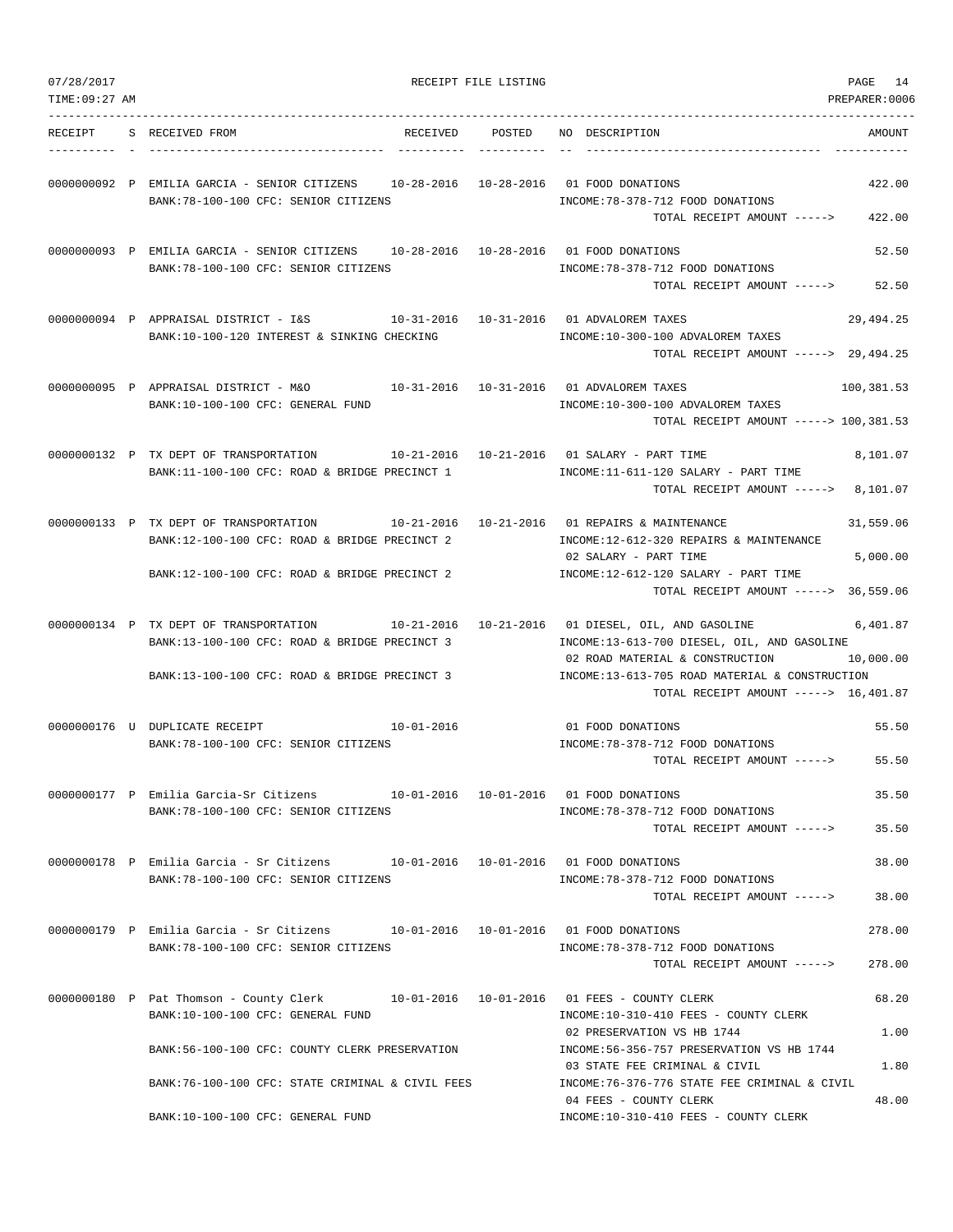| 07/28/2017     |                                                                                                                                                                       | RECEIPT FILE LISTING |                                                                                                                                                                                                           | PAGE<br>14            |
|----------------|-----------------------------------------------------------------------------------------------------------------------------------------------------------------------|----------------------|-----------------------------------------------------------------------------------------------------------------------------------------------------------------------------------------------------------|-----------------------|
| TIME: 09:27 AM |                                                                                                                                                                       |                      |                                                                                                                                                                                                           | PREPARER:0006         |
| RECEIPT        | RECEIVED POSTED<br>S RECEIVED FROM                                                                                                                                    |                      | NO DESCRIPTION                                                                                                                                                                                            | AMOUNT                |
|                | 0000000092 P EMILIA GARCIA - SENIOR CITIZENS 10-28-2016 10-28-2016 01 FOOD DONATIONS<br>BANK:78-100-100 CFC: SENIOR CITIZENS                                          |                      | INCOME: 78-378-712 FOOD DONATIONS<br>TOTAL RECEIPT AMOUNT ----->                                                                                                                                          | 422.00<br>422.00      |
|                | 0000000093 P EMILIA GARCIA - SENIOR CITIZENS 10-28-2016 10-28-2016 01 FOOD DONATIONS<br>BANK: 78-100-100 CFC: SENIOR CITIZENS                                         |                      | INCOME: 78-378-712 FOOD DONATIONS<br>TOTAL RECEIPT AMOUNT ----->                                                                                                                                          | 52.50<br>52.50        |
|                | 0000000094 P APPRAISAL DISTRICT - I&S<br>BANK:10-100-120 INTEREST & SINKING CHECKING                                                                                  |                      | 10-31-2016  10-31-2016  01 ADVALOREM TAXES<br>INCOME:10-300-100 ADVALOREM TAXES<br>TOTAL RECEIPT AMOUNT -----> 29,494.25                                                                                  | 29,494.25             |
|                | 0000000095 P APPRAISAL DISTRICT - M&O<br>BANK:10-100-100 CFC: GENERAL FUND                                                                                            |                      | 10-31-2016  10-31-2016  01 ADVALOREM TAXES<br>INCOME:10-300-100 ADVALOREM TAXES<br>TOTAL RECEIPT AMOUNT -----> 100,381.53                                                                                 | 100,381.53            |
|                | 0000000132 P TX DEPT OF TRANSPORTATION<br>BANK:11-100-100 CFC: ROAD & BRIDGE PRECINCT 1                                                                               |                      | INCOME:11-611-120 SALARY - PART TIME<br>TOTAL RECEIPT AMOUNT -----> 8,101.07                                                                                                                              | 8,101.07              |
|                | 0000000133 P TX DEPT OF TRANSPORTATION 10-21-2016 10-21-2016 01 REPAIRS & MAINTENANCE<br>BANK:12-100-100 CFC: ROAD & BRIDGE PRECINCT 2                                |                      | INCOME:12-612-320 REPAIRS & MAINTENANCE<br>02 SALARY - PART TIME                                                                                                                                          | 31,559.06<br>5,000.00 |
|                | BANK:12-100-100 CFC: ROAD & BRIDGE PRECINCT 2                                                                                                                         |                      | INCOME:12-612-120 SALARY - PART TIME<br>TOTAL RECEIPT AMOUNT -----> 36,559.06                                                                                                                             |                       |
|                | 0000000134 P TX DEPT OF TRANSPORTATION<br>$10-21-2016$ $10-21-2016$<br>BANK:13-100-100 CFC: ROAD & BRIDGE PRECINCT 3<br>BANK:13-100-100 CFC: ROAD & BRIDGE PRECINCT 3 |                      | 01 DIESEL, OIL, AND GASOLINE<br>INCOME:13-613-700 DIESEL, OIL, AND GASOLINE<br>02 ROAD MATERIAL & CONSTRUCTION<br>INCOME:13-613-705 ROAD MATERIAL & CONSTRUCTION<br>TOTAL RECEIPT AMOUNT -----> 16,401.87 | 6,401.87<br>10,000.00 |
|                | 0000000176 U DUPLICATE RECEIPT 10-01-2016<br>BANK: 78-100-100 CFC: SENIOR CITIZENS                                                                                    |                      | 01 FOOD DONATIONS<br>INCOME: 78-378-712 FOOD DONATIONS<br>TOTAL RECEIPT AMOUNT ----->                                                                                                                     | 55.50<br>55.50        |
|                | 0000000177 P Emilia Garcia-Sr Citizens 10-01-2016 10-01-2016 01 FOOD DONATIONS<br>BANK: 78-100-100 CFC: SENIOR CITIZENS                                               |                      | INCOME: 78-378-712 FOOD DONATIONS<br>TOTAL RECEIPT AMOUNT ----->                                                                                                                                          | 35.50<br>35.50        |
|                | 0000000178 P Emilia Garcia - Sr Citizens 10-01-2016 10-01-2016 01 FOOD DONATIONS<br>BANK: 78-100-100 CFC: SENIOR CITIZENS                                             |                      | INCOME: 78-378-712 FOOD DONATIONS<br>TOTAL RECEIPT AMOUNT ----->                                                                                                                                          | 38.00<br>38.00        |
|                | 0000000179 P Emilia Garcia - Sr Citizens 10-01-2016 10-01-2016 01 FOOD DONATIONS<br>BANK: 78-100-100 CFC: SENIOR CITIZENS                                             |                      | INCOME: 78-378-712 FOOD DONATIONS<br>TOTAL RECEIPT AMOUNT ----->                                                                                                                                          | 278.00<br>278.00      |
|                | 0000000180 P Pat Thomson - County Clerk 10-01-2016 10-01-2016 01 FEES - COUNTY CLERK<br>BANK:10-100-100 CFC: GENERAL FUND                                             |                      | INCOME:10-310-410 FEES - COUNTY CLERK                                                                                                                                                                     | 68.20                 |
|                | BANK:56-100-100 CFC: COUNTY CLERK PRESERVATION                                                                                                                        |                      | 02 PRESERVATION VS HB 1744<br>INCOME: 56-356-757 PRESERVATION VS HB 1744<br>03 STATE FEE CRIMINAL & CIVIL                                                                                                 | 1.00<br>1.80          |
|                | BANK:76-100-100 CFC: STATE CRIMINAL & CIVIL FEES                                                                                                                      |                      | INCOME: 76-376-776 STATE FEE CRIMINAL & CIVIL<br>04 FEES - COUNTY CLERK                                                                                                                                   | 48.00                 |
|                | BANK:10-100-100 CFC: GENERAL FUND                                                                                                                                     |                      | INCOME:10-310-410 FEES - COUNTY CLERK                                                                                                                                                                     |                       |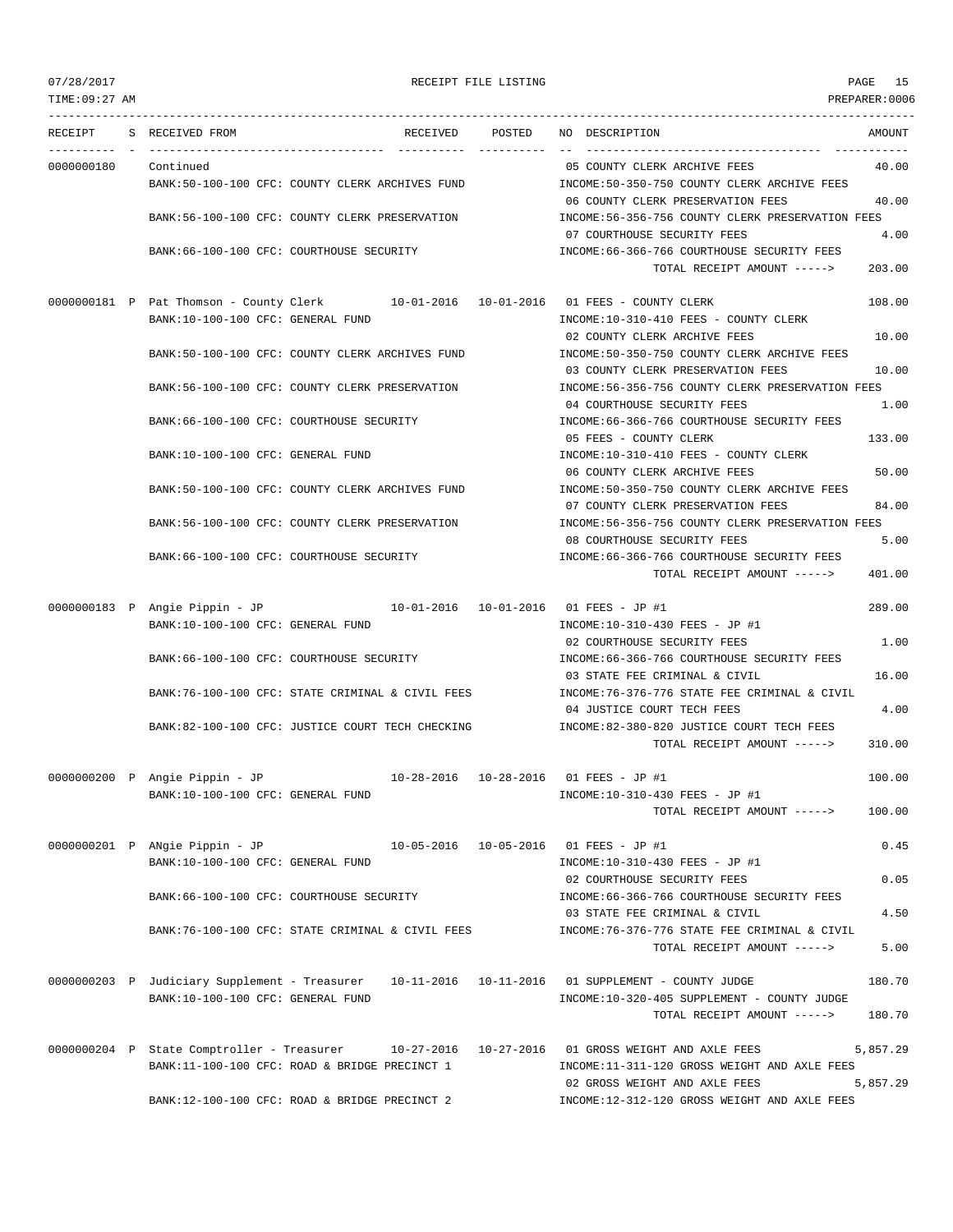TIME:09:27 AM PREPARER:0006 --------------------------------------------------------------------------------------------------------------------------------- RECEIPT S RECEIVED FROM RECEIVED POSTED NO DESCRIPTION AMOUNT ---------- - ----------------------------------- ---------- ---------- -- ----------------------------------- ----------- 0000000180 Continued 05 COUNTY CLERK ARCHIVE FEES 40.00 BANK:50-100-100 CFC: COUNTY CLERK ARCHIVES FUND INCOME:50-350-750 COUNTY CLERK ARCHIVE FEES 06 COUNTY CLERK PRESERVATION FEES 40.00 BANK:56-100-100 CFC: COUNTY CLERK PRESERVATION INCOME:56-356-756 COUNTY CLERK PRESERVATION FEES 07 COURTHOUSE SECURITY FEES 4.00 BANK:66-100-100 CFC: COURTHOUSE SECURITY INCOME:66-366-766 COURTHOUSE SECURITY FEES TOTAL RECEIPT AMOUNT -----> 203.00 0000000181 P Pat Thomson - County Clerk 10-01-2016 10-01-2016 01 FEES - COUNTY CLERK 108.00 BANK:10-100-100 CFC: GENERAL FUND INCOME:10-310-410 FEES - COUNTY CLERK 02 COUNTY CLERK ARCHIVE FEES 10.00 BANK:50-100-100 CFC: COUNTY CLERK ARCHIVES FUND INCOME:50-350-750 COUNTY CLERK ARCHIVE FEES 03 COUNTY CLERK PRESERVATION FEES 10.00 BANK:56-100-100 CFC: COUNTY CLERK PRESERVATION INCOME:56-356-756 COUNTY CLERK PRESERVATION FEES 04 COURTHOUSE SECURITY FEES 1.00 BANK:66-100-100 CFC: COURTHOUSE SECURITY INCOME:66-366-766 COURTHOUSE SECURITY FEES 05 FEES - COUNTY CLERK 133.00 BANK:10-100-100 CFC: GENERAL FUND INCOME:10-310-410 FEES - COUNTY CLERK 06 COUNTY CLERK ARCHIVE FEES 50.00 BANK:50-100-100 CFC: COUNTY CLERK ARCHIVES FUND INCOME:50-350-750 COUNTY CLERK ARCHIVE FEES 07 COUNTY CLERK PRESERVATION FEES 84.00 BANK:56-100-100 CFC: COUNTY CLERK PRESERVATION INCOME:56-356-756 COUNTY CLERK PRESERVATION FEES 08 COURTHOUSE SECURITY FEES 5.00 BANK:66-100-100 CFC: COURTHOUSE SECURITY **INCOME:66-366-766 COURTHOUSE SECURITY FEES** TOTAL RECEIPT AMOUNT -----> 401.00 0000000183 P Angie Pippin - JP 10-01-2016 10-01-2016 01 FEES - JP #1 289.00 BANK:10-100-100 CFC: GENERAL FUND INCOME:10-310-430 FEES - JP #1 02 COURTHOUSE SECURITY FEES 1.00 BANK:66-100-100 CFC: COURTHOUSE SECURITY INCOME:66-366-766 COURTHOUSE SECURITY FEES 03 STATE FEE CRIMINAL & CIVIL 16.00 BANK:76-100-100 CFC: STATE CRIMINAL & CIVIL FEES INCOME:76-376-776 STATE FEE CRIMINAL & CIVIL 04 JUSTICE COURT TECH FEES 4.00 BANK:82-100-100 CFC: JUSTICE COURT TECH CHECKING INCOME:82-380-820 JUSTICE COURT TECH FEES TOTAL RECEIPT AMOUNT -----> 310.00 0000000200 P Angie Pippin - JP 10-28-2016 10-28-2016 01 FEES - JP #1 100.00 BANK:10-100-100 CFC: GENERAL FUND INCOME:10-310-430 FEES - JP #1 TOTAL RECEIPT AMOUNT -----> 100.00 0000000201 P ANgie Pippin - JP 10-05-2016 10-05-2016 01 FEES - JP #1 0.45 BANK:10-100-100 CFC: GENERAL FUND **INCOME:10-310-430 FEES** - JP #1 02 COURTHOUSE SECURITY FEES 0.05 BANK:66-100-100 CFC: COURTHOUSE SECURITY INCOME:66-366-766 COURTHOUSE SECURITY FEES 03 STATE FEE CRIMINAL & CIVIL 4.50 BANK:76-100-100 CFC: STATE CRIMINAL & CIVIL FEES INCOME:76-376-776 STATE FEE CRIMINAL & CIVIL TOTAL RECEIPT AMOUNT -----> 5.00 0000000203 P Judiciary Supplement - Treasurer 10-11-2016 10-11-2016 01 SUPPLEMENT - COUNTY JUDGE 180.70 BANK:10-100-100 CFC: GENERAL FUND INCOME:10-320-405 SUPPLEMENT - COUNTY JUDGE TOTAL RECEIPT AMOUNT -----> 180.70 0000000204 P State Comptroller - Treasurer 10-27-2016 10-27-2016 01 GROSS WEIGHT AND AXLE FEES 5,857.29 BANK:11-100-100 CFC: ROAD & BRIDGE PRECINCT 1 INCOME:11-311-120 GROSS WEIGHT AND AXLE FEES 02 GROSS WEIGHT AND AXLE FEES 5,857.29 BANK:12-100-100 CFC: ROAD & BRIDGE PRECINCT 2 INCOME:12-312-120 GROSS WEIGHT AND AXLE FEES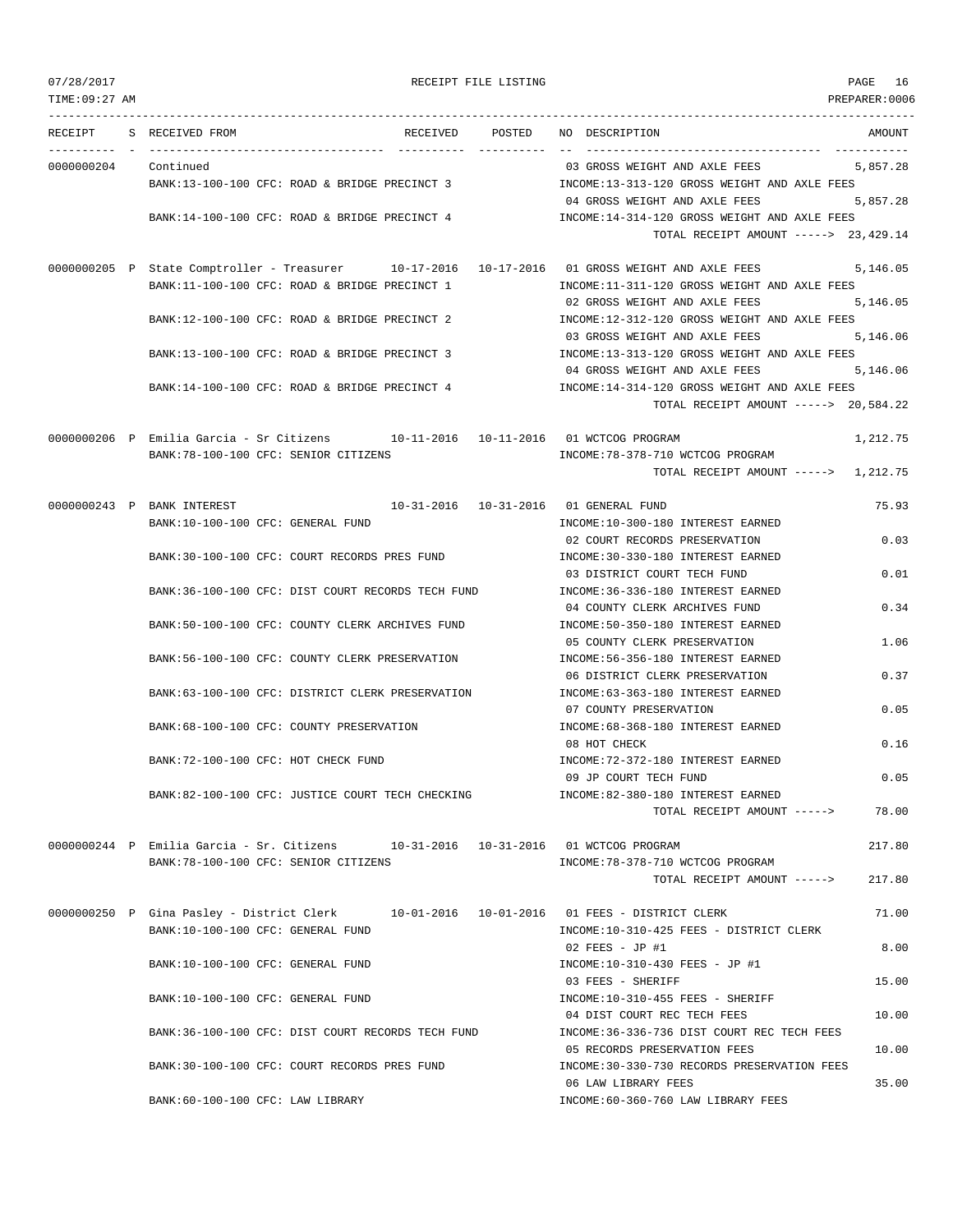| 07/28/2017           | RECEIPT FILE LISTING                                                                           |                                                                      | PAGE 16        |
|----------------------|------------------------------------------------------------------------------------------------|----------------------------------------------------------------------|----------------|
| TIME: 09:27 AM       |                                                                                                |                                                                      | PREPARER: 0006 |
|                      | RECEIPT S RECEIVED FROM                                                                        | RECEIVED POSTED NO DESCRIPTION                                       | AMOUNT         |
| 0000000204 Continued |                                                                                                | 03 GROSS WEIGHT AND AXLE FEES                                        | 5,857.28       |
|                      | BANK:13-100-100 CFC: ROAD & BRIDGE PRECINCT 3                                                  | INCOME:13-313-120 GROSS WEIGHT AND AXLE FEES                         |                |
|                      |                                                                                                | 04 GROSS WEIGHT AND AXLE FEES                                        | 5,857.28       |
|                      | BANK:14-100-100 CFC: ROAD & BRIDGE PRECINCT 4                                                  | INCOME:14-314-120 GROSS WEIGHT AND AXLE FEES                         |                |
|                      |                                                                                                | TOTAL RECEIPT AMOUNT -----> 23,429.14                                |                |
|                      | 0000000205 P State Comptroller - Treasurer 10-17-2016 10-17-2016 01 GROSS WEIGHT AND AXLE FEES |                                                                      | 5,146.05       |
|                      | BANK:11-100-100 CFC: ROAD & BRIDGE PRECINCT 1                                                  | INCOME:11-311-120 GROSS WEIGHT AND AXLE FEES                         |                |
|                      |                                                                                                | 02 GROSS WEIGHT AND AXLE FEES                                        | 5,146.05       |
|                      | BANK:12-100-100 CFC: ROAD & BRIDGE PRECINCT 2                                                  | INCOME:12-312-120 GROSS WEIGHT AND AXLE FEES                         |                |
|                      |                                                                                                | 03 GROSS WEIGHT AND AXLE FEES                                        | 5,146.06       |
|                      | BANK:13-100-100 CFC: ROAD & BRIDGE PRECINCT 3                                                  | INCOME:13-313-120 GROSS WEIGHT AND AXLE FEES                         |                |
|                      |                                                                                                | 04 GROSS WEIGHT AND AXLE FEES                                        | 5,146.06       |
|                      | BANK:14-100-100 CFC: ROAD & BRIDGE PRECINCT 4                                                  | INCOME:14-314-120 GROSS WEIGHT AND AXLE FEES                         |                |
|                      |                                                                                                | TOTAL RECEIPT AMOUNT -----> 20,584.22                                |                |
|                      | 0000000206 P Emilia Garcia - Sr Citizens 10-11-2016 10-11-2016 01 WCTCOG PROGRAM               |                                                                      | 1,212.75       |
|                      | BANK: 78-100-100 CFC: SENIOR CITIZENS                                                          | INCOME: 78-378-710 WCTCOG PROGRAM                                    |                |
|                      |                                                                                                | TOTAL RECEIPT AMOUNT -----> 1,212.75                                 |                |
|                      |                                                                                                |                                                                      |                |
|                      | 0000000243 P BANK INTEREST $10-31-2016$ $10-31-2016$ 01 GENERAL FUND                           |                                                                      | 75.93          |
|                      | BANK:10-100-100 CFC: GENERAL FUND                                                              | INCOME:10-300-180 INTEREST EARNED                                    |                |
|                      |                                                                                                | 02 COURT RECORDS PRESERVATION                                        | 0.03           |
|                      | BANK:30-100-100 CFC: COURT RECORDS PRES FUND                                                   | INCOME: 30-330-180 INTEREST EARNED                                   |                |
|                      |                                                                                                | 03 DISTRICT COURT TECH FUND                                          | 0.01           |
|                      | BANK:36-100-100 CFC: DIST COURT RECORDS TECH FUND                                              | INCOME: 36-336-180 INTEREST EARNED                                   |                |
|                      |                                                                                                | 04 COUNTY CLERK ARCHIVES FUND                                        | 0.34           |
|                      | BANK:50-100-100 CFC: COUNTY CLERK ARCHIVES FUND                                                | INCOME: 50-350-180 INTEREST EARNED                                   |                |
|                      |                                                                                                | 05 COUNTY CLERK PRESERVATION                                         | 1.06           |
|                      | BANK:56-100-100 CFC: COUNTY CLERK PRESERVATION                                                 | INCOME: 56-356-180 INTEREST EARNED<br>06 DISTRICT CLERK PRESERVATION | 0.37           |
|                      | BANK: 63-100-100 CFC: DISTRICT CLERK PRESERVATION                                              | INCOME: 63-363-180 INTEREST EARNED                                   |                |
|                      |                                                                                                | 07 COUNTY PRESERVATION                                               | 0.05           |
|                      | BANK:68-100-100 CFC: COUNTY PRESERVATION                                                       | INCOME: 68-368-180 INTEREST EARNED                                   |                |
|                      |                                                                                                | 08 HOT CHECK                                                         | 0.16           |
|                      | BANK: 72-100-100 CFC: HOT CHECK FUND                                                           | INCOME: 72-372-180 INTEREST EARNED                                   |                |
|                      |                                                                                                | 09 JP COURT TECH FUND                                                | 0.05           |
|                      | BANK:82-100-100 CFC: JUSTICE COURT TECH CHECKING                                               | INCOME:82-380-180 INTEREST EARNED                                    |                |
|                      |                                                                                                | TOTAL RECEIPT AMOUNT ----->                                          | 78.00          |
|                      | 0000000244 P Emilia Garcia - Sr. Citizens 10-31-2016 10-31-2016 01 WCTCOG PROGRAM              |                                                                      | 217.80         |
|                      | BANK: 78-100-100 CFC: SENIOR CITIZENS                                                          | INCOME: 78-378-710 WCTCOG PROGRAM                                    |                |
|                      |                                                                                                | TOTAL RECEIPT AMOUNT ----->                                          | 217.80         |
|                      |                                                                                                |                                                                      |                |
|                      | 0000000250 P Gina Pasley - District Clerk                                                      |                                                                      | 71.00          |
|                      | BANK:10-100-100 CFC: GENERAL FUND                                                              | INCOME:10-310-425 FEES - DISTRICT CLERK                              |                |
|                      |                                                                                                | $02$ FEES - JP #1                                                    | 8.00           |
|                      | BANK:10-100-100 CFC: GENERAL FUND                                                              | INCOME:10-310-430 FEES - JP #1                                       |                |
|                      |                                                                                                | 03 FEES - SHERIFF                                                    | 15.00          |
|                      | BANK:10-100-100 CFC: GENERAL FUND                                                              | INCOME:10-310-455 FEES - SHERIFF                                     |                |
|                      |                                                                                                | 04 DIST COURT REC TECH FEES                                          | 10.00          |
|                      | BANK:36-100-100 CFC: DIST COURT RECORDS TECH FUND                                              | INCOME: 36-336-736 DIST COURT REC TECH FEES                          |                |
|                      |                                                                                                | 05 RECORDS PRESERVATION FEES                                         | 10.00          |
|                      | BANK:30-100-100 CFC: COURT RECORDS PRES FUND                                                   | INCOME: 30-330-730 RECORDS PRESERVATION FEES                         |                |
|                      |                                                                                                | 06 LAW LIBRARY FEES                                                  | 35.00          |

BANK:60-100-100 CFC: LAW LIBRARY **INCOME:60-360-760 LAW LIBRARY FEES**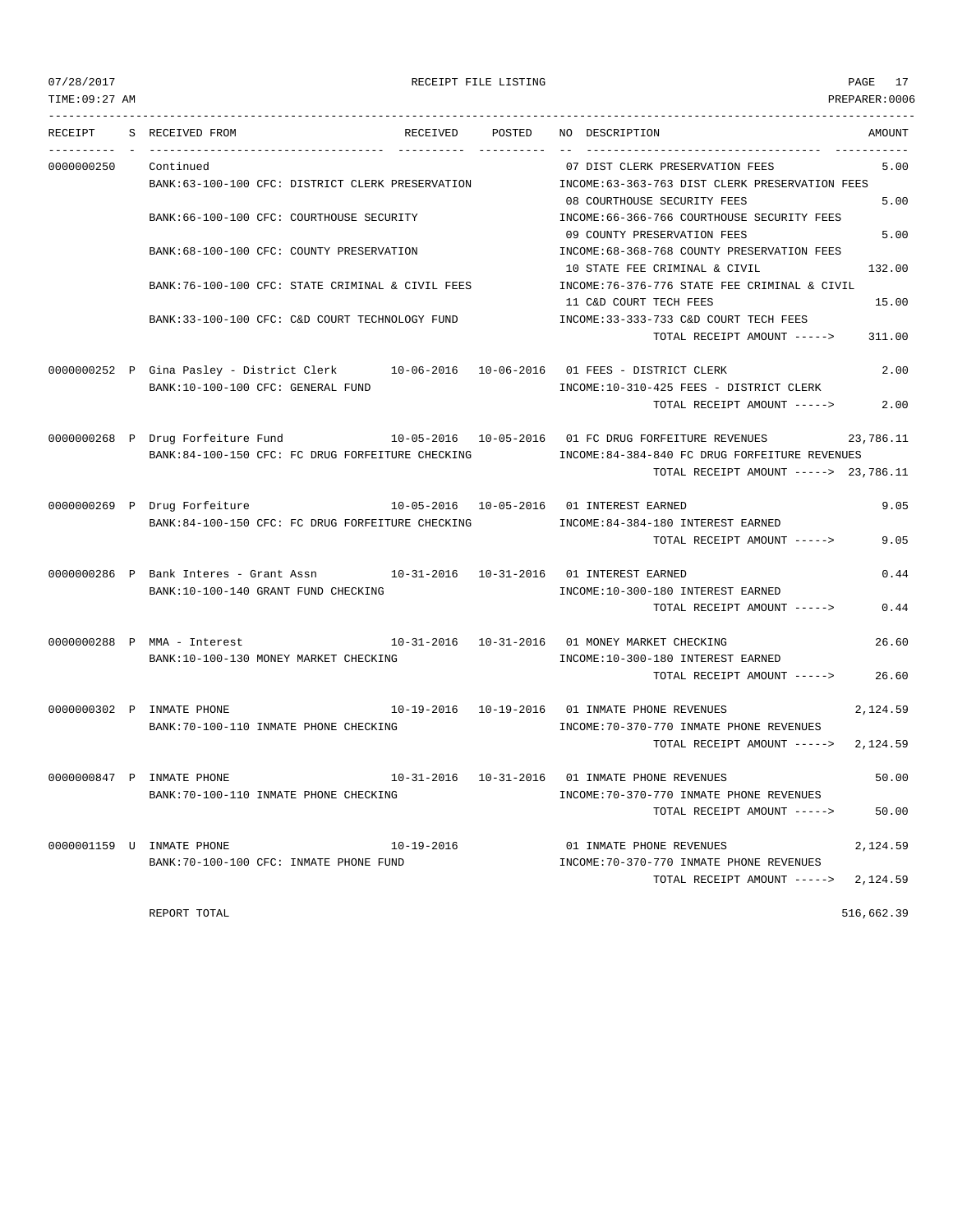TIME:09:27 AM PREPARER:0006

### 07/28/2017 RECEIPT FILE LISTING PAGE 17

--------------------------------------------------------------------------------------------------------------------------------- RECEIPT S RECEIVED FROM THE RECEIVED POSTED NO DESCRIPTION AMOUNT AMOUNT ---------- - ----------------------------------- ---------- ---------- -- ----------------------------------- ----------- 0000000250 Continued 07 DIST CLERK PRESERVATION FEES 5.00 BANK:63-100-100 CFC: DISTRICT CLERK PRESERVATION INCOME:63-363-763 DIST CLERK PRESERVATION FEES 08 COURTHOUSE SECURITY FEES 5.00 BANK:66-100-100 CFC: COURTHOUSE SECURITY INCOME:66-366-766 COURTHOUSE SECURITY FEES 09 COUNTY PRESERVATION FEES 5.00 BANK:68-100-100 CFC: COUNTY PRESERVATION INCOME:68-368-768 COUNTY PRESERVATION FEES 10 STATE FEE CRIMINAL & CIVIL 132.00 BANK:76-100-100 CFC: STATE CRIMINAL & CIVIL FEES INCOME:76-376-776 STATE FEE CRIMINAL & CIVIL 11 C&D COURT TECH FEES 15.00

TOTAL RECEIPT AMOUNT -----> 311.00

BANK:33-100-100 CFC: C&D COURT TECHNOLOGY FUND INCOME:33-333-733 C&D COURT TECH FEES

- 0000000252 P Gina Pasley District Clerk 10-06-2016 10-06-2016 01 FEES DISTRICT CLERK 2.00 BANK:10-100-100 CFC: GENERAL FUND INCOME:10-310-425 FEES - DISTRICT CLERK TOTAL RECEIPT AMOUNT -----> 2.00
- 0000000268 P Drug Forfeiture Fund 10-05-2016 10-05-2016 01 FC DRUG FORFEITURE REVENUES 23,786.11 BANK:84-100-150 CFC: FC DRUG FORFEITURE CHECKING INCOME:84-384-840 FC DRUG FORFEITURE REVENUES TOTAL RECEIPT AMOUNT -----> 23,786.11
- 0000000269 P Drug Forfeiture 10-05-2016 10-05-2016 01 INTEREST EARNED 9.05 BANK:84-100-150 CFC: FC DRUG FORFEITURE CHECKING **INCOME:84-384-180 INTEREST EARNED** TOTAL RECEIPT AMOUNT -----> 9.05
- 0000000286 P Bank Interes Grant Assn 10-31-2016 10-31-2016 01 INTEREST EARNED 0.44 BANK:10-100-140 GRANT FUND CHECKING **INCOME:10-300-180 INTEREST EARNED** TOTAL RECEIPT AMOUNT -----> 0.44
- 0000000288 P MMA Interest 10-31-2016 10-31-2016 01 MONEY MARKET CHECKING 26.60 BANK:10-100-130 MONEY MARKET CHECKING INCOME:10-300-180 INTEREST EARNED TOTAL RECEIPT AMOUNT -----> 26.60
- 0000000302 P INMATE PHONE 10-19-2016 10-19-2016 01 INMATE PHONE REVENUES 2,124.59 BANK:70-100-110 INMATE PHONE CHECKING **INCOME:70-370-770 INMATE PHONE REVENUES** TOTAL RECEIPT AMOUNT -----> 2,124.59
- 0000000847 P INMATE PHONE 10-31-2016 10-31-2016 01 INMATE PHONE REVENUES 50.00 BANK:70-100-110 INMATE PHONE CHECKING INCOME:70-370-770 INMATE PHONE REVENUES TOTAL RECEIPT AMOUNT -----> 50.00 0000001159 U INMATE PHONE 10-19-2016 01 INMATE PHONE REVENUES 2,124.59 BANK:70-100-100 CFC: INMATE PHONE FUND INCOME:70-370-770 INMATE PHONE REVENUES
	- TOTAL RECEIPT AMOUNT -----> 2,124.59

REPORT TOTAL 516,662.39